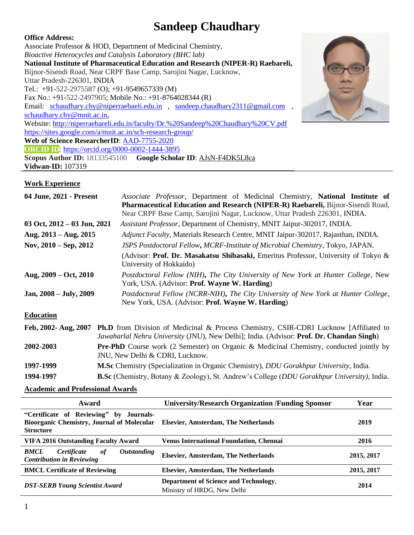# **Sandeep Chaudhary**

**Office Address:** Associate Professor & HOD, Department of Medicinal Chemistry, *Bioactive Heterocycles and Catalysis Laboratory (BHC lab)* **National Institute of Pharmaceutical Education and Research (NIPER-R) Raebareli,**  Bijnor-Sisendi Road, Near CRPF Base Camp, Sarojini Nagar, Lucknow, Uttar Pradesh-226301, INDIA Tel.: +91-522-2975587 (O); +91-9549657339 (M) Fax No.: +91-522-2497905; Mobile No.: +91-8764028344 (R) Email: [schaudhary.chy@niperraebaeli.edu.in](mailto:schaudhary.chy@niperraebaeli.edu.in), [sandeep.chaudhary2311@gmail.com](mailto:sandeep.chaudhary2311@gmail.com), [schaudhary.chy@mnit.ac.in,](mailto:schaudhary.chy@mnit.ac.in) Website:<http://niperraebareli.edu.in/faculty/Dr.%20Sandeep%20Chaudhary%20CV.pdf> <https://sites.google.com/a/mnit.ac.in/sch-research-group/> **Web of Science ResearcherID**: [AAD-7755-2020](https://publons.com/researcher/AAD-7755-2020/) **ORCID ID**:<https://orcid.org/0000-0002-1444-3895> **Scopus Author ID:** 18133545100 **Google Scholar ID**: [AJsN-F4DK5L8ca](http://scholar.google.co.in/citations?user=AJsN-F4DK5L8ca) **Vidwan-ID:** 107319



#### **Work Experience**

| 04 June, 2021 - Present         | Associate Professor, Department of Medicinal Chemistry, National Institute of<br>Pharmaceutical Education and Research (NIPER-R) Raebareli, Bijnor-Sisendi Road,                                        |  |  |
|---------------------------------|---------------------------------------------------------------------------------------------------------------------------------------------------------------------------------------------------------|--|--|
|                                 | Near CRPF Base Camp, Sarojini Nagar, Lucknow, Uttar Pradesh 226301, INDIA.                                                                                                                              |  |  |
| 03 Oct, $2012 - 03$ Jun, $2021$ | Assistant Professor, Department of Chemistry, MNIT Jaipur-302017, INDIA.                                                                                                                                |  |  |
| Aug, $2013 - Aug$ , $2015$      | Adjunct Faculty, Materials Research Centre, MNIT Jaipur-302017, Rajasthan, INDIA.                                                                                                                       |  |  |
| Nov, $2010 - \text{Sep}, 2012$  | JSPS Postdoctoral Fellow, MCRF-Institute of Microbial Chemistry, Tokyo, JAPAN.                                                                                                                          |  |  |
|                                 | (Advisor: Prof. Dr. Masakatsu Shibasaki, Emeritus Professor, University of Tokyo &<br>University of Hokkaido)                                                                                           |  |  |
| Aug, $2009 - Oct$ , $2010$      | Postdoctoral Fellow (NIH), The City University of New York at Hunter College, New<br>York, USA. (Advisor: Prof. Wayne W. Harding)                                                                       |  |  |
| Jan, 2008 – July, 2009          | Postdoctoral Fellow (NCRR-NIH), The City University of New York at Hunter College,<br>New York, USA. (Advisor: Prof. Wayne W. Harding)                                                                  |  |  |
| <b>Education</b>                |                                                                                                                                                                                                         |  |  |
| Feb, 2002- Aug, 2007            | <b>Ph.D</b> from Division of Medicinal & Process Chemistry, CSIR-CDRI Lucknow [Affiliated to<br><i>Jawaharlal Nehru University</i> (JNU), New Delhi]; India. (Advisor: <b>Prof. Dr. Chandan Singh</b> ) |  |  |
| 2002-2003                       | <b>Pre-PhD</b> Course work (2 Semester) on Organic & Medicinal Chemistry, conducted jointly by<br>JNU, New Delhi & CDRI, Lucknow.                                                                       |  |  |
| 1997-1999                       | <b>M.Sc</b> Chemistry (Specialization in Organic Chemistry), <i>DDU Gorakhpur University</i> , India.                                                                                                   |  |  |
| 1994-1997                       | <b>B.Sc</b> (Chemistry, Botany & Zoology), St. Andrew's College ( <i>DDU Gorakhpur University</i> ), India.                                                                                             |  |  |

**Academic and Professional Awards**

| Award                                                                                                            | <b>University/Research Organization /Funding Sponsor</b>             | Year       |
|------------------------------------------------------------------------------------------------------------------|----------------------------------------------------------------------|------------|
| "Certificate of Reviewing" by Journals-<br><b>Bioorganic Chemistry, Journal of Molecular</b><br><b>Structure</b> | <b>Elsevier, Amsterdam, The Netherlands</b>                          | 2019       |
| <b>VIFA 2016 Outstanding Faculty Award</b>                                                                       | <b>Venus International Foundation, Chennai</b>                       | 2016       |
| <b>BMCL</b><br>Certificate<br><i><b>Outstanding</b></i><br>of<br><b>Contribution in Reviewing</b>                | <b>Elsevier, Amsterdam, The Netherlands</b>                          | 2015, 2017 |
| <b>BMCL Certificate of Reviewing</b>                                                                             | <b>Elsevier, Amsterdam, The Netherlands</b>                          | 2015, 2017 |
| <b>DST-SERB Young Scientist Award</b>                                                                            | Department of Science and Technology,<br>Ministry of HRDG, New Delhi | 2014       |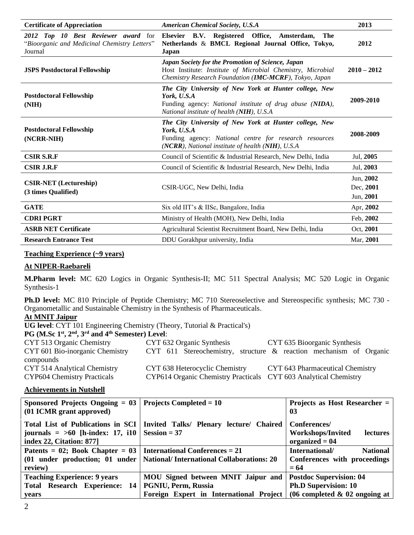| <b>Certificate of Appreciation</b>                                                             | <b>American Chemical Society, U.S.A</b>                                                                                                                                              | 2013                                |
|------------------------------------------------------------------------------------------------|--------------------------------------------------------------------------------------------------------------------------------------------------------------------------------------|-------------------------------------|
| 2012 Top 10 Best Reviewer award for<br>"Bioorganic and Medicinal Chemistry Letters"<br>Journal | Elsevier B.V. Registered Office, Amsterdam,<br>The<br>Netherlands & BMCL Regional Journal Office, Tokyo,<br>Japan                                                                    | 2012                                |
| <b>JSPS Postdoctoral Fellowship</b>                                                            | Japan Society for the Promotion of Science, Japan<br>Host Institute: Institute of Microbial Chemistry, Microbial<br>Chemistry Research Foundation (IMC-MCRF), Tokyo, Japan           | $2010 - 2012$                       |
| <b>Postdoctoral Fellowship</b><br>(NIH)                                                        | The City University of New York at Hunter college, New<br>York, U.S.A<br>Funding agency: National institute of drug abuse (NIDA),<br>National institute of health (NIH), U.S.A       | 2009-2010                           |
| <b>Postdoctoral Fellowship</b><br>(NCRR-NIH)                                                   | The City University of New York at Hunter college, New<br>York, U.S.A<br>Funding agency: National centre for research resources<br>(NCRR), National institute of health (NIH), U.S.A | 2008-2009                           |
| <b>CSIR S.R.F</b>                                                                              | Council of Scientific & Industrial Research, New Delhi, India                                                                                                                        | Jul, 2005                           |
| <b>CSIR J.R.F</b>                                                                              | Council of Scientific & Industrial Research, New Delhi, India                                                                                                                        | Jul, 2003                           |
| <b>CSIR-NET</b> (Lectureship)<br>(3 times Qualified)                                           | CSIR-UGC, New Delhi, India                                                                                                                                                           | Jun, 2002<br>Dec, 2001<br>Jun, 2001 |
| <b>GATE</b>                                                                                    | Six old IIT's & IISc, Bangalore, India                                                                                                                                               | Apr, 2002                           |
| <b>CDRIPGRT</b>                                                                                | Ministry of Health (MOH), New Delhi, India                                                                                                                                           | Feb, 2002                           |
| <b>ASRB NET Certificate</b>                                                                    | Agricultural Scientist Recruitment Board, New Delhi, India                                                                                                                           | Oct, 2001                           |
| <b>Research Entrance Test</b>                                                                  | DDU Gorakhpur university, India                                                                                                                                                      | Mar. 2001                           |

#### **Teaching Experience (~9 years)**

#### **At NIPER-Raebareli**

**M.Pharm level:** MC 620 Logics in Organic Synthesis-II; MC 511 Spectral Analysis; MC 520 Logic in Organic Synthesis-1

**Ph.D level:** MC 810 Principle of Peptide Chemistry; MC 710 Stereoselective and Stereospecific synthesis; MC 730 - Organometallic and Sustainable Chemistry in the Synthesis of Pharmaceuticals.

#### **At MNIT Jaipur**

**UG level**: CYT 101 Engineering Chemistry (Theory, Tutorial & Practical's)

**PG** (M.Sc  $1^{\text{st}}$ ,  $2^{\text{nd}}$ ,  $3^{\text{rd}}$  and  $4^{\text{th}}$  Semester) Level:

| CYT 513 Organic Chemistry          | CYT 632 Organic Synthesis                                        | CYT 635 Bioorganic Synthesis                                          |
|------------------------------------|------------------------------------------------------------------|-----------------------------------------------------------------------|
| CYT 601 Bio-inorganic Chemistry    |                                                                  | CYT 611 Stereochemistry, structure $\&$ reaction mechanism of Organic |
| compounds                          |                                                                  |                                                                       |
| CYT 514 Analytical Chemistry       | CYT 638 Heterocyclic Chemistry                                   | CYT 643 Pharmaceutical Chemistry                                      |
| <b>CYP604 Chemistry Practicals</b> | CYP614 Organic Chemistry Practicals CYT 603 Analytical Chemistry |                                                                       |

#### **Achievements in Nutshell**

| Sponsored Projects Ongoing $= 03$<br>(01 ICMR grant approved)                                         | Projects Completed $= 10$                                                                                                                                             | Projects as Host Researcher $=$<br>03                                           |
|-------------------------------------------------------------------------------------------------------|-----------------------------------------------------------------------------------------------------------------------------------------------------------------------|---------------------------------------------------------------------------------|
| Total List of Publications in SCI<br>journals = $>60$ [h-index: 17, i10  <br>index 22, Citation: 877] | Invited Talks/ Plenary lecture/ Chaired<br>$Session = 37$                                                                                                             | Conferences/<br><b>Workshops/Invited</b><br><b>lectures</b><br>organized $= 04$ |
| Patents = 02; Book Chapter = 03   International Conferences = 21<br>review)                           | (01 under production; 01 under   National/ International Collaborations: 20                                                                                           | International/<br><b>National</b><br>Conferences with proceedings<br>$= 64$     |
| <b>Teaching Experience: 9 years</b><br>Total Research Experience: 14<br>vears                         | <b>MOU</b> Signed between MNIT Jaipur and<br><b>PGNIU, Perm, Russia</b><br>Foreign Expert in International Project $(06 \text{ completed } \& 02 \text{ ongoing at }$ | <b>Postdoc Supervision: 04</b><br><b>Ph.D Supervision: 10</b>                   |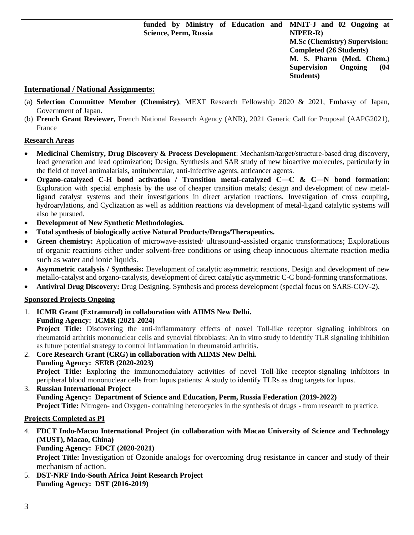|                       | funded by Ministry of Education and MNIT-J and 02 Ongoing at |
|-----------------------|--------------------------------------------------------------|
| Science, Perm, Russia | <b>NIPER-R)</b>                                              |
|                       | M.Sc (Chemistry) Supervision:                                |
|                       | <b>Completed (26 Students)</b>                               |
|                       | M. S. Pharm (Med. Chem.)                                     |
|                       | <b>Supervision</b><br>(04)<br>Ongoing                        |
|                       | <b>Students</b> )                                            |

#### **International / National Assignments:**

- (a) **Selection Committee Member (Chemistry)**, MEXT Research Fellowship 2020 & 2021, Embassy of Japan, Government of Japan.
- (b) **French Grant Reviewer,** French National Research Agency (ANR), 2021 Generic Call for Proposal (AAPG2021), France

#### **Research Areas**

- **Medicinal Chemistry, Drug Discovery & Process Development**: Mechanism/target/structure-based drug discovery, lead generation and lead optimization; Design, Synthesis and SAR study of new bioactive molecules, particularly in the field of novel antimalarials, antitubercular, anti-infective agents, anticancer agents.
- **Organo-catalyzed C-H bond activation / Transition metal-catalyzed C―C & C**―**N bond formation**: Exploration with special emphasis by the use of cheaper transition metals; design and development of new metalligand catalyst systems and their investigations in direct arylation reactions. Investigation of cross coupling, hydroarylations, and Cyclization as well as addition reactions via development of metal-ligand catalytic systems will also be pursued.
- **Development of New Synthetic Methodologies.**
- **Total synthesis of biologically active Natural Products/Drugs/Therapeutics.**
- Green chemistry: Application of microwave-assisted/ ultrasound-assisted organic transformations; Explorations of organic reactions either under solvent-free conditions or using cheap innocuous alternate reaction media such as water and ionic liquids.
- **Asymmetric catalysis / Synthesis:** Development of catalytic asymmetric reactions, Design and development of new metallo-catalyst and organo-catalysts, development of direct catalytic asymmetric C-C bond-forming transformations.
- **Antiviral Drug Discovery:** Drug Designing, Synthesis and process development (special focus on SARS-COV-2).

### **Sponsored Projects Ongoing**

1. **ICMR Grant (Extramural) in collaboration with AIIMS New Delhi. Funding Agency: ICMR (2021-2024)**

**Project Title:** Discovering the anti-inflammatory effects of novel Toll-like receptor signaling inhibitors on rheumatoid arthritis mononuclear cells and synovial fibroblasts: An in vitro study to identify TLR signaling inhibition as future potential strategy to control inflammation in rheumatoid arthritis.

2. **Core Research Grant (CRG) in collaboration with AIIMS New Delhi. Funding Agency: SERB (2020-2023) Project Title:** Exploring the immunomodulatory activities of novel Toll-like receptor-signaling inhibitors in peripheral blood mononuclear cells from lupus patients: A study to identify TLRs as drug targets for lupus.

#### 3. **Russian International Project Funding Agency: Department of Science and Education, Perm, Russia Federation (2019-2022) Project Title:** Nitrogen- and Oxygen- containing heterocycles in the synthesis of drugs - from research to practice.

#### **Projects Completed as PI**

4. **FDCT Indo-Macao International Project (in collaboration with Macao University of Science and Technology (MUST), Macao, China) Funding Agency: FDCT (2020-2021)**

**Project Title:** Investigation of Ozonide analogs for overcoming drug resistance in cancer and study of their mechanism of action.

5. **DST-NRF Indo-South Africa Joint Research Project Funding Agency: DST (2016-2019)**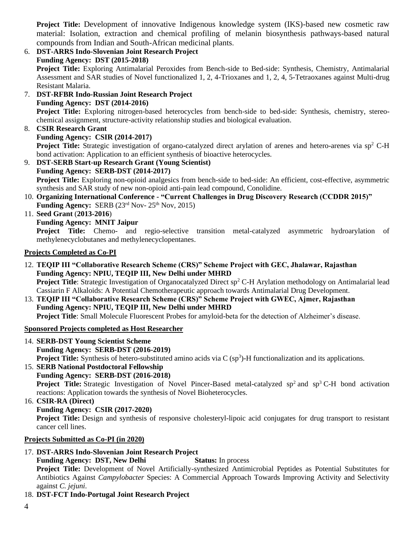**Project Title:** Development of innovative Indigenous knowledge system (IKS)-based new cosmetic raw material: Isolation, extraction and chemical profiling of melanin biosynthesis pathways-based natural compounds from Indian and South-African medicinal plants.

- 6. **DST-ARRS Indo-Slovenian Joint Research Project Funding Agency: DST (2015-2018) Project Title:** Exploring Antimalarial Peroxides from Bench-side to Bed-side: Synthesis, Chemistry, Antimalarial Assessment and SAR studies of Novel functionalized 1, 2, 4-Trioxanes and 1, 2, 4, 5-Tetraoxanes against Multi-drug Resistant Malaria.
- 7. **DST-RFBR Indo-Russian Joint Research Project Funding Agency: DST (2014-2016) Project Title:** Exploring nitrogen-based heterocycles from bench-side to bed-side: Synthesis, chemistry, stereochemical assignment, structure-activity relationship studies and biological evaluation.
- 8. **CSIR Research Grant Funding Agency: CSIR (2014-2017) Project Title:** Strategic investigation of organo-catalyzed direct arylation of arenes and hetero-arenes via sp<sup>2</sup> C-H
- bond activation: Application to an efficient synthesis of bioactive heterocycles. 9. **DST-SERB Start-up Research Grant (Young Scientist) Funding Agency: SERB-DST (2014-2017) Project Title:** Exploring non-opioid analgesics from bench-side to bed-side: An efficient, cost-effective, asymmetric synthesis and SAR study of new non-opioid anti-pain lead compound, Conolidine. 10. **Organizing International Conference - "Current Challenges in Drug Discovery Research (CCDDR 2015)" Funding Agency:** SERB  $(23<sup>rd</sup> Nov-25<sup>th</sup> Nov, 2015)$
- 11. **Seed Grant** (**2013-2016**)
	- **Funding Agency: MNIT Jaipur**

**Project Title:** Chemo- and regio-selective transition metal-catalyzed asymmetric hydroarylation of methylenecyclobutanes and methylenecyclopentanes.

#### **Projects Completed as Co-PI**

- 12. **TEQIP III "Collaborative Research Scheme (CRS)" Scheme Project with GEC, Jhalawar, Rajasthan Funding Agency: NPIU, TEQIP III, New Delhi under MHRD Project Title**: Strategic Investigation of Organocatalyzed Direct sp<sup>2</sup> C-H Arylation methodology on Antimalarial lead Cassiarin F Alkaloids: A Potential Chemotherapeutic approach towards Antimalarial Drug Development.
- 13. **TEQIP III "Collaborative Research Scheme (CRS)" Scheme Project with GWEC, Ajmer, Rajasthan Funding Agency: NPIU, TEQIP III, New Delhi under MHRD**

**Project Title**: Small Molecule Fluorescent Probes for amyloid-beta for the detection of Alzheimer's disease.

### **Sponsored Projects completed as Host Researcher**

14. **SERB-DST Young Scientist Scheme Funding Agency: SERB-DST (2016-2019)**

**Project Title:** Synthesis of hetero-substituted amino acids via C (sp<sup>3</sup>)-H functionalization and its applications.

- 15. **SERB National Postdoctoral Fellowship Funding Agency: SERB-DST (2016-2018) Project Title:** Strategic Investigation of Novel Pincer-Based metal-catalyzed sp<sup>2</sup> and sp<sup>3</sup> C-H bond activation reactions: Application towards the synthesis of Novel Bioheterocycles.
- 16. **CSIR-RA (Direct)**

### **Funding Agency: CSIR (2017-2020)**

**Project Title:** Design and synthesis of responsive cholesteryl-lipoic acid conjugates for drug transport to resistant cancer cell lines.

#### **Projects Submitted as Co-PI (in 2020)**

### 17. **DST-ARRS Indo-Slovenian Joint Research Project**

**Funding Agency: DST, New Delhi Status:** In process

**Project Title:** Development of Novel Artificially-synthesized Antimicrobial Peptides as Potential Substitutes for Antibiotics Against *Campylobacter* Species: A Commercial Approach Towards Improving Activity and Selectivity against *C. jejuni*.

### 18. **DST-FCT Indo-Portugal Joint Research Project**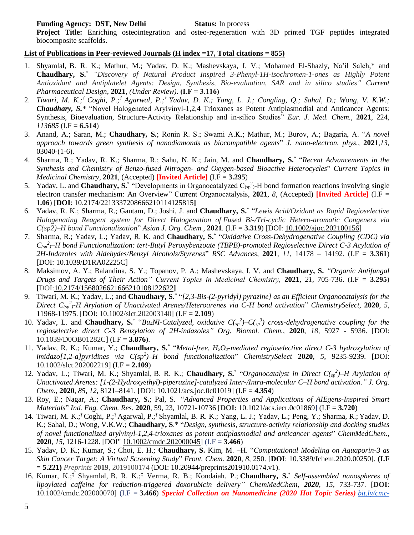#### **Funding Agency: DST, New Delhi Status:** In process

**Project Title:** Enriching osteointegration and osteo-regeneration with 3D printed TGF peptides integrated biocomposite scaffolds.

#### **List of Publications in Peer-reviewed Journals (H index =17, Total citations = 855)**

- 1. Shyamlal, B. R. K.; Mathur, M.; Yadav, D. K.; Mashevskaya, I. V.; Mohamed El-Shazly, Na'il Saleh,\* and **Chaudhary, S.**\* *"Discovery of Natural Product Inspired 3-Phenyl-1H-isochromen-1-ones as Highly Potent Antioxidant and Antiplatelet Agents: Design, Synthesis, Bio-evaluation, SAR and in silico studies" Current Pharmaceutical Design,* **2021***, (Under Review).* **(I.F = 3.116)**
- 2. *Tiwari, M. K.;† Coghi, P.;† Agarwal, P.;† Yadav, D. K.; Yang, L. J.; Congling, Q.; Sahal, D.; Wong, V. K.W.; Chaudhary, S.\** "Novel Halogenated Arylvinyl-1,2,4 Trioxanes as Potent Antiplasmodial and Anticancer Agents: Synthesis, Bioevaluation, Structure-Activity Relationship and in-silico Studies" *Eur. J. Med. Chem.*, **2021**, 224*, 113685* (I.F **= 6.514**)
- 3. Anand, A.; Saran, M.; **Chaudhary, S.**; Ronin R. S.; Swami A.K.; Mathur, M.; Burov, A.; Bagaria, A. "*A novel approach towards green synthesis of nanodiamonds as biocompatible agents*" *J. nano-electron. phys.*, **2021**,*13*, 03040-(1-6).
- 4. Sharma, R.; Yadav, R. K.; Sharma, R.; Sahu, N. K.; Jain, M. and **Chaudhary, S.**\* "*Recent Advancements in the Synthesis and Chemistry of Benzo-fused Nitrogen- and Oxygen-based Bioactive Heterocycles*" *Current Topics in Medicinal Chemistry*, **2021**, (Accepted) **[Invited Article]** (I.F **= 3.295**)
- 5. Yadav, L. and **Chaudhary, S.**\* "Developments in Organocatalyzed  $C_{(sp)}^2$ -H bond formation reactions involving single electron transfer mechanism: An Overview" Current Organocatalysis, **2021**, *8*, (Accepted) **[Invited Article]** (I.F **= 1.06**) **[DOI**: [10.2174/2213337208666210114125815](https://doi.org/10.2174/2213337208666210114125815)**]**
- 6. Yadav, R. K.; Sharma, R.; Gautam, D.; Joshi, J. and **Chaudhary, S.**\* "*Lewis Acid/Oxidant as Rapid Regioselective Halogenating Reagent system for Direct Halogenation of Fused Bi-/Tri-cyclic Hetero-aromatic Congeners via C(sp2)–H bond Functionalization*" *Asian J. Org. Chem.*, **2021**. (I.F **= 3.319**) [DOI: [10.1002/ajoc.202100156\]](http://dx.doi.org/10.1002/ajoc.202100156)
- 7. Sharma, R.; Yadav, L.; Yadav, R. K. and **Chaudhary, S.**\* "*Oxidative Cross-Dehydrogenative Coupling (CDC) via C(sp 2 )–H bond Functionalization: tert-Butyl Peroxybenzoate (TBPB)-promoted Regioselective Direct C-3 Acylation of 2H-Indazoles with Aldehydes/Benzyl Alcohols/Styrenes*" *RSC Advances*, **2021**, *11*, 14178 – 14192. (I.F **= 3.361**) [DOI: [10.1039/D1RA02225C\]](https://doi.org/10.1039/D1RA02225C)
- 8. Maksimov, A. Y.; Balandina, S. Y.; Topanov, P. A.; Mashevskaya, I. V. and **Chaudhary, S.** *"Organic Antifungal Drugs and Targets of Their Action" Current Topics in Medicinal Chemistry,* **2021**, *21*, 705-736. (I.F **= 3.295**) **[**DOI:10.2174/1568026621666210108122622**]**
- 9. Tiwari, M. K.; Yadav, L.; and **Chaudhary, S.**\* "*[2,3-Bis-(2-pyridyl) pyrazine] as an Efficient Organocatalysis for the Direct C(sp 2 )-H Arylation of Unactivated Arenes/Heteroarenes via C-H bond activation*" *ChemistrySelect,* **2020**, *5*, 11968-11975. [DOI: 10.1002/slct.202003140] (I.F **= 2.109**)
- 10. Yadav, L. and **Chaudhary, S.**\* "Bu<sub>4</sub>NI-Catalyzed, oxidative  $C(s_p^2) C(s_p^3)$  cross-dehydrogenative coupling for the *regioselective direct C-3 Benzylation of 2H-indazoles" Org. Biomol. Chem.,* **2020**, *18,* 5927 - 5936. [DOI: 10.1039/D0OB01282C] (I.F = **3.876**).
- 11. Yadav, R. K.; Kumar, Y.; **Chaudhary, S.**\* "*Metal-free, H2O2-mediated regioselective direct C-3 hydroxylation of imidazo[1,2-a]pyridines via C(sp<sup>2</sup> )–H bond functionalization*" *ChemistrySelect* **2020**, *5*, 9235-9239. [DOI: 10.1002/slct.202002219] (I.F = **2.109**)
- 12. Yadav, L.; Tiwari, M. K.; Shyamlal, B. R. K.; Chaudhary, S.<sup>\*</sup> "Organocatalyst in Direct C(<sub>sp</sub><sup>2</sup>)–H Arylation of *Unactivated Arenes: [1-(2-Hydroxyethyl)-piperazine]-catalyzed Inter-/Intra-molecular C–H bond activation." J. Org. Chem.*, **2020**, *85*, *12*, 8121–8141. [DOI: [10.1021/acs.joc.0c01019\]](https://doi.org/10.1021/acs.joc.0c01019) (I.F = **4.354**)
- 13. Roy, E.; Nagar, A.; **Chaudhary, S.**; Pal, S. "*Advanced Properties and Applications of AIEgens-Inspired Smart Materials*" *Ind. Eng. Chem. Res.* **2020**, 59, 23, 10721-10736 [**DOI:** [10.1021/acs.iecr.0c01869\]](https://doi.org/10.1021/acs.iecr.0c01869) (I.F = **3.720**)
- 14. Tiwari, M. K.;† Coghi, P.;† Agarwal, P.;† Shyamlal, B. R. K.; Yang, L. J.; Yadav, L.; Peng, Y.; Sharma, R.; Yadav, D. K.; Sahal, D.; Wong, V.K.W.; **Chaudhary, S**.\* "*Design, synthesis, structure-activity relationship and docking studies of novel functionalized arylvinyl-1,2,4-trioxanes as potent antiplasmodial and anticancer agents*" *ChemMedChem.,*  **2020**, *15*, 1216-1228. [DOI" [10.1002/cmdc.202000045\]](http://dx.doi.org/10.1002/cmdc.202000045) (I.F = **3.466**)
- 15. Yadav, D. K.; Kumar, S.; Choi, E. H.; **Chaudhary, S.** Kim, M. –H. "*Computational Modeling on Aquaporin-3 as Skin Cancer Target: A Virtual Screening Study*" *Front. Chem.* **2020**, *8*, 250. [**DOI**: 10.3389/fchem.2020.00250]*.* **(I.F = 5.221)** *Preprints* **2019**, 2019100174 (DOI: 10.20944/preprints201910.0174.v1).
- 16. Kumar, K.;‡ Shyamlal, B. R. K.;‡ Verma, R. B.; Kondaiah. P.; **Chaudhary, S.**\* *Self-assembled nanospheres of lipoylated caffeine for reduction-triggered doxorubicin delivery" ChemMedChem, 2020, 15,* 733-737. [**DOI**: 10.1002/cmdc.202000070] (I.F = **3.466**) *Special Collection on Nanomedicine (2020 Hot Topic Series) [bit.ly/cmc-](http://bit.ly/cmc-2020-nanomed)*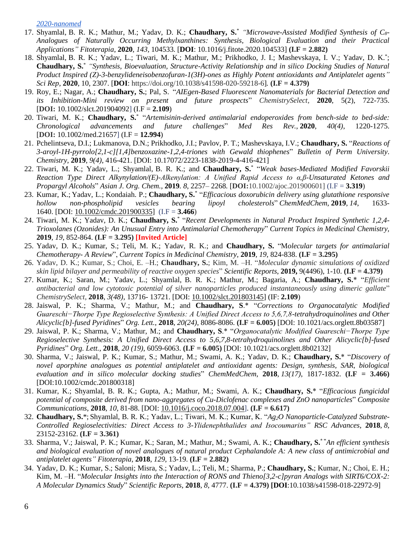*[2020-nanomed](http://bit.ly/cmc-2020-nanomed)*

- 17. Shyamlal, B. R. K.; Mathur, M.; Yadav, D. K.; **Chaudhary, S.**\* *"Microwave-Assisted Modified Synthesis of C8- Analogues of Naturally Occurring Methylxanthines: Synthesis, Biological Evaluation and their Practical Applications" Fitoterapia*, **2020**, *143,* 104533. [**DOI**: [10.1016/j.fitote.2020.104533\]](https://doi.org/10.1016/j.fitote.2020.104533) **(I.F = 2.882)**
- 18. Shyamlal, B. R. K.; Yadav, L.; Tiwari, M. K.; Mathur, M.; Prikhodko, J. I.; Mashevskaya, I. V.; Yadav, D. K.\* ; **Chaudhary, S.**\* *"Synthesis, Bioevaluation, Structure-Activity Relationship and in silico Docking Studies of Natural Product Inspired (Z)-3-benzylideneisobenzofuran-1(3H)-ones as Highly Potent antioxidants and Antiplatelet agents" Sci Rep*, **2020**, 10, 2307. [**DOI**: https://doi.org/10.1038/s41598-020-59218-6]*.* **(I.F = 4.379)**
- 19. Roy, E.; Nagar, A.; **Chaudhary, S.**; Pal, S. "*AIEgen-Based Fluorescent Nanomaterials for Bacterial Detection and its Inhibition-Mini review on present and future prospects*" *ChemistrySelect*, **2020**, 5(2), 722-735. [**DOI:** [10.1002/slct.201904092\]](https://doi.org/10.1002/slct.201904092) (I.F = **2.109**)
- 20. Tiwari, M. K.; **Chaudhary, S.**\* "*Artemisinin-derived antimalarial endoperoxides from bench-side to bed-side: Chronological advancements and future challenges*" *Med Res Rev.*, **2020**, *40(4)*, 1220-1275. [**DOI:** 10.1002/med.21657] (I.F = **12.994**)
- 21. Pchelintseva, D.I.; Lukmanova, D.N.; Prikhodko, J.I.; Pavlov, P. T.; Mashevskaya, I.V.; **Chaudhary, S.** "*Reactions of 3-aroyl-1H-pyrrolo[2,1-c][1,4]benzoxazine-1,2,4-triones with Gewald thiophenes*" *Bulletin of Perm University*. *Chemistry*, **2019**, *9(4)*, 416-421. [DOI: 10.17072/2223-1838-2019-4-416-421]
- 22. Tiwari, M. K.; Yadav, L.; Shyamlal, B. R. K.; and **Chaudhary, S.**\* "*Weak bases-Mediated Modified Favorskii Reaction Type Direct Alkynylation/(E)-Alkenylation: A Unified Rapid Access to α,β-Unsaturated Ketones and Propargyl Alcohols*" *Asian J. Org. Chem.,* **2019***. 8*, 2257– 2268*.* [**DOI:**10.1002/ajoc.201900601] (I.F = **3.319**)
- 23. Kumar, K.; Yadav, L.; Kondaiah. P.; **Chaudhary, S.**\* "*Efficacious doxorubicin delivery using glutathione responsive hollow non-phospholipid vesicles bearing lipoyl cholesterols*" *ChemMedChem*, **2019**, *14*, 1633- 1640. [DOI: [10.1002/cmdc.201900335\]](https://doi.org/10.1002/cmdc.201900335) (I.F = **3.466**)
- 24. Tiwari, M. K.; Yadav, D. K.; **Chaudhary, S.**\* "*Recent Developments in Natural Product Inspired Synthetic 1,2,4- Trioxolanes (Ozonides): An Unusual Entry into Antimalarial Chemotherapy*" *Current Topics in Medicinal Chemistry,*  **2019***, 19*, 852-864. **(I.F = 3.295) [Invited Article]**
- 25. Yadav, D. K.; Kumar, S.; Teli, M. K.; Yadav, R. K.; and **Chaudhary, S.** "M*olecular targets for antimalarial Chemotherapy- A Review*", *Current Topics in Medicinal Chemistry,* **2019***, 19*, 824-838. **(I.F = 3.295)**
- 26. Yadav, D. K.; Kumar, S.; Choi, E. –H.; **Chaudhary, S.**; Kim, M. –H. "*Molecular dynamic simulations of oxidized skin lipid bilayer and permeability of reactive oxygen species*" *Scientific Reports*, **2019,** 9(4496), 1-10. **(I.F = 4.379)**
- 27. Kumar, K.; Saran, M.; Yadav, L.; Shyamlal, B. R. K.; Mathur, M.; Bagaria, A.; **Chaudhary, S.**\* "*Efficient antibacterial and low cytotoxic potential of silver nanoparticles produced instantaneously using dimeric gallate*" *ChemistrySelect*, **2018**, *3(48)*, 13716- 13721. [DOI: [10.1002/slct.201803145\]](https://doi.org/10.1002/slct.201803145) (IF: **2.109**)
- 28. Jaiswal, P. K.; Sharma, V.; Mathur, M.; and **Chaudhary, S**.\* "*Corrections to Organocatalytic Modified Guareschi−Thorpe Type Regioselective Synthesis: A Unified Direct Access to 5,6,7,8-tetrahydroquinolines and Other Alicyclic[b]-fused Pyridines*" *Org. Lett.*, **2018**, *20(24)*, 8086-8086. **(I.F = 6.005)** [DOI: 10.1021/acs.orglett.8b03587]
- 29. Jaiswal, P. K.; Sharma, V.; Mathur, M.; and **Chaudhary, S**.\* "*Organocatalytic Modified Guareschi−Thorpe Type Regioselective Synthesis: A Unified Direct Access to 5,6,7,8-tetrahydroquinolines and Other Alicyclic[b]-fused Pyridines*" *Org. Lett.*, **2018**, *20 (19)*, 6059-6063. **(I.F = 6.005)** [DOI: 10.1021/acs.orglett.8b02132]
- 30. Sharma, V.; Jaiswal, P. K.; Kumar, S.; Mathur, M.; Swami, A. K.; Yadav, D. K.; **Chaudhary, S.**\* "*Discovery of novel aporphine analogues as potential antiplatelet and antioxidant agents: Design, synthesis, SAR, biological evaluation and in silico molecular docking studies*" *ChemMedChem*, **2018**, *13(17)*, 1817-1832. **(I.F = 3.466)** [DOI:10.1002/cmdc.201800318]
- 31. Kumar, K.; Shyamlal, B. R. K.; Gupta, A.; Mathur, M.; Swami, A. K.; **Chaudhary, S.**\* "*Efficacious fungicidal potential of composite derived from nano-aggregates of Cu-Diclofenac complexes and ZnO nanoparticles*" *Composite Communications*, **2018**, *10*, 81-88. [DOI: [10.1016/j.coco.2018.07.004\]](https://doi.org/10.1016/j.coco.2018.07.004). **(I.F = 6.617)**
- 32. **Chaudhary, S.**\*; Shyamlal, B. R. K.; Yadav, L.; Tiwari, M. K.; Kumar, K. "*Ag2O Nanoparticle-Catalyzed Substrate-Controlled Regioselectivities: Direct Access to 3-Ylidenephthalides and Isocoumarins" RSC Advances*, **2018**, *8*, 23152-23162. **(I.F = 3.361)**
- 33. Sharma, V.; Jaiswal, P. K.; Kumar, K.; Saran, M.; Mathur, M.; Swami, A. K.; **Chaudhary, S.\* "***An efficient synthesis and biological evaluation of novel analogues of natural product Cephalandole A: A new class of antimicrobial and antiplatelet agents" Fitoterapia*, **2018**, *129*, 13-19. **(I.F = 2.882)**
- 34. Yadav, D. K.; Kumar, S.; Saloni; Misra, S.; Yadav, L.; Teli, M.; Sharma, P.; **Chaudhary, S.**; Kumar, N.; Choi, E. H.; Kim, M. –H. "*Molecular Insights into the Interaction of RONS and Thieno[3,2-c]pyran Analogs with SIRT6/COX-2: A Molecular Dynamics Study*" *Scientific Reports*, **2018**, *8*, 4777. **(I.F = 4.379) [DOI**:10.1038/s41598-018-22972-9]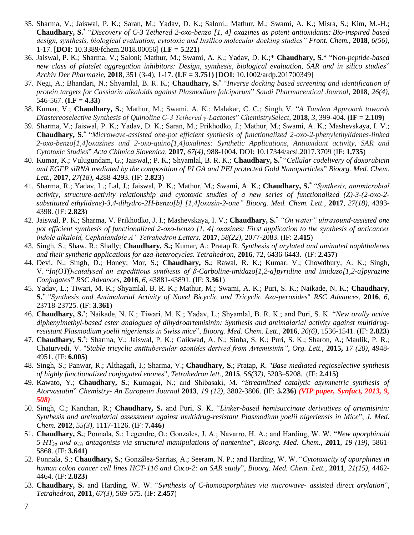- 35. Sharma, V.; Jaiswal, P. K.; Saran, M.; Yadav, D. K.; Saloni.; Mathur, M.; Swami, A. K.; Misra, S.; Kim, M.-H.; **Chaudhary, S.\*** "*Discovery of C-3 Tethered 2-oxo-benzo [1, 4] oxazines as potent antioxidants: Bio-inspired based design, synthesis, biological evaluation, cytotoxic and Insilico molecular docking studies" Front. Chem.*, **2018**, *6(56)*, 1-17. **[DOI**: 10.3389/fchem.2018.00056] **(I.F = 5.221)**
- 36. Jaiswal, P. K.; Sharma, V.; Saloni; Mathur, M.; Swami, A. K.; Yadav, D. K.;\* **Chaudhary, S.**\* "N*on-peptide-based new class of platelet aggregation inhibitors: Design, synthesis, biological evaluation, SAR and in silico studies*" *Archiv Der Pharmazie*, **2018**, 351 (3-4), 1-17. **(I.F = 3.751)** [**DOI**: [10.1002/ardp.201700349\]](https://doi.org/10.1002/ardp.201700349)
- 37. Negi, A.; Bhandari, N.; Shyamlal, B. R. K.; **Chaudhary, S.\*** "*Inverse docking based screening and identification of protein targets for Cassiarin alkaloids against Plasmodium falciparum*" *Saudi Pharmaceutical Journal*, **2018**, *26(4)*, 546-567. **(I.F = 4.33)**
- 38. Kumar, V.; **Chaudhary, S.**; Mathur, M.; Swami, A. K.; Malakar, C. C.; Singh, V. "*A Tandem Approach towards Diastereoselective Synthesis of Quinoline C-3 Tethered γ-Lactones*" *ChemistrySelect*, **2018**, *3*, 399-404. **(IF = 2.109)**
- 39. Sharma, V.; Jaiswal, P. K.; Yadav, D. K.; Saran, M.; Prikhodko, J.; Mathur, M.; Swami, A. K.; Mashevskaya, I. V.; **Chaudhary, S.\*** "*Microwave-assisted one-pot efficient synthesis of functionalized 2-oxo-2-phenylethylidenes-linked 2-oxo-benzo[1,4]oxazines and 2-oxo-quino[1,4]oxalines: Synthetic Applications, Antioxidant activity, SAR and Cytotoxic Studies*" *Acta Chimica Slovenica,* **2017**, *67(4)*, 988-1004. DOI: 10.17344/acsi.2017.3709 (IF: **1.735**)
- 40. Kumar, K.; Vulugundam, G.; Jaiswal,; P. K.; Shyamlal, B. R. K.; **Chaudhary, S.\***  "*Cellular codelivery of doxorubicin and EGFP siRNA mediated by the composition of PLGA and PEI protected Gold Nanoparticles*" *Bioorg. Med. Chem. Lett.,* **2017**, *27(18)*, 4288-4293. (IF: **2.823**)
- 41. Sharma, R.; Yadav, L.; Lal, J.; Jaiswal, P. K.; Mathur, M.; Swami, A. K.; **Chaudhary, S.\*** *"Synthesis, antimicrobial activity, structure-activity relationship and cytotoxic studies of a new series of functionalized (Z)-3-(2-oxo-2 substituted ethylidene)-3,4-dihydro-2H-benzo[b] [1,4]oxazin-2-one" Bioorg. Med. Chem. Lett.,* **2017**, *27(18)*, 4393- 4398. (IF: **2.823**)
- 42. Jaiswal, P. K.; Sharma, V. Prikhodko, J. I.; Mashevskaya, I. V.; **Chaudhary, S.\*** *"On water" ultrasound-assisted one pot efficient synthesis of functionalized 2-oxo-benzo [1, 4] oxazines: First application to the synthesis of anticancer indole alkaloid, Cephalandole A" Tetrahedron Letters,* **2017**, *58(22)*, 2077-2083. (IF: **2.415**)
- 43. Singh, S.; Shaw, R.; Shally; **Chaudhary, S.;** Kumar, A.; Pratap R. *Synthesis of arylated and aminated naphthalenes and their synthetic applications for aza-heterocycles. Tetrahedron*, **2016**, 72, 6436-6443. (IF: **2.457**)
- 44. Devi, N.; Singh, D.; Honey; Mor, S.; **Chaudhary, S.**; Rawal, R. K.; Kumar, V.; Chowdhury, A. K.; Singh, V. **"***In(OTf)3catalysed an expeditious synthesis of β-Carboline-imidazo[1,2-a]pyridine and imidazo[1,2-a]pyrazine Conjugates***"** *RSC Advances*, **2016**, *6*, 43881-43891. (IF: **3.361**)
- 45. Yadav, L.; Tiwari, M. K.; Shyamlal, B. R. K.; Mathur, M.; Swami, A. K.; Puri, S. K.; Naikade, N. K.; **Chaudhary, S.\*** "*Synthesis and Antimalarial Activity of Novel Bicyclic and Tricyclic Aza-peroxides*" *RSC Advances*, **2016**, *6*, 23718-23725. (IF: **3.361**)
- 46. **Chaudhary, S.\*** ; Naikade, N. K.; Tiwari, M. K.; Yadav, L.; Shyamlal, B. R. K.; and Puri, S. K. "*New orally active diphenylmethyl-based ester analogues of dihydroartemisinin: Synthesis and antimalarial activity against multidrugresistant Plasmodium yoelii nigeriensis in Swiss mice*", *Bioorg. Med. Chem. Lett.,* **2016**, *26(6)*, 1536-1541. (IF: **2.823**)
- 47. **Chaudhary, S.\*** ; Sharma, V.; Jaiswal, P. K.; Gaikwad, A. N.; Sinha, S. K.; Puri, S. K.; Sharon, A.; Maulik, P. R.; Chaturvedi, V. "*Stable tricyclic antitubercular ozonides derived from Artemisinin"*, *Org. Lett.*, **2015,** *17 (20)*, 4948- 4951. (IF: **6.005**)
- 48. Singh, S.; Panwar, R.; Althagafi, I.; Sharma, V.; **Chaudhary, S.**; Pratap, R. "*Base mediated regioselective synthesis of highly functionalized conjugated enones*", *Tetrahedron lett.,* **2015**, *56(37)*, 5203–5208. (IF: **2.415**)
- 49. Kawato, Y.; **Chaudhary, S.**; Kumagai, N.; and Shibasaki, M. "*Streamlined catalytic asymmetric synthesis of Atorvastatin*" *Chemistry- An European Journal* **2013**, *19 (12)*, 3802-3806. (IF: **5.236**) *(VIP paper, Synfact, 2013, 9, 508)*
- 50. Singh, C.; Kanchan, R.; **Chaudhary, S.** and Puri, S. K. "*Linker-based hemisuccinate derivatives of artemisinin: Synthesis and antimalarial assessment against multidrug-resistant Plasmodium yoelii nigeriensis in Mice*", *J. Med. Chem.* **2012**, *55(3)*, 1117-1126. (IF: **7.446**)
- 51. **Chaudhary, S.**; Ponnala, S.; Legendre, O.; Gonzales, J. A.; Navarro, H. A.; and Harding, W. W. "*New aporphinoid 5-HT2a and α1A antagonists via structural manipulations of nantenine*", *Bioorg. Med. Chem.*, **2011**, *19 (19)*, 5861- 5868. (IF: **3.641**)
- 52. Ponnala, S.; **Chaudhary, S.**; González-Sarrias, A.; Seeram, N. P.; and Harding, W. W. "*Cytotoxicity of aporphines in human colon cancer cell lines HCT-116 and Caco-2: an SAR study*", *Bioorg. Med. Chem. Lett.*, **2011**, *21(15)*, 4462- 4464. (IF: **2.823**)
- 53. **Chaudhary, S.** and Harding, W. W. "*Synthesis of C-homoaporphines via microwave- assisted direct arylation*", *Tetrahedron*, **2011**, *67(3),* 569-575. (IF: **2.457**)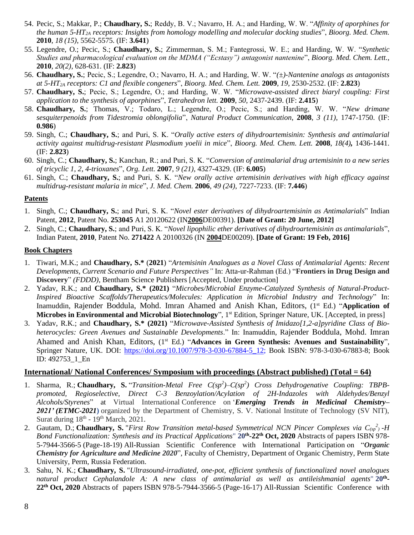- 54. Pecic, S.; Makkar, P.; **Chaudhary, S.**; Reddy, B. V.; Navarro, H. A.; and Harding, W. W. "*Affinity of aporphines for the human 5-HT2A receptors: Insights from homology modelling and molecular docking studies*", *Bioorg. Med. Chem.*  **2010**, *18 (15)*, 5562-5575. (IF: **3.641**)
- 55. Legendre, O.; Pecic, S.; **Chaudhary, S.**; Zimmerman, S. M.; Fantegrossi, W. E.; and Harding, W. W. "*Synthetic Studies and pharmacological evaluation on the MDMA ("Ecstasy") antagonist nantenine*", *Bioorg. Med. Chem. Lett.*, **2010**, *20(2)*, 628-631. (IF: **2.823**)
- 56. **Chaudhary, S.**; Pecic, S.; Legendre, O.; Navarro, H. A.; and Harding, W. W. "*(±)-Nantenine analogs as antagonists at 5-HT2A receptors: C1 and flexible congeners*", *Bioorg. Med. Chem. Lett.* **2009**, *19*, 2530-2532. (IF: **2.823**)
- 57. **Chaudhary, S.**; Pecic, S.; Legendre, O.; and Harding, W. W. "*Microwave-assisted direct biaryl coupling: First application to the synthesis of aporphines*", *Tetrahedron lett.* **2009**, *50*, 2437-2439. (IF: **2.415**)
- 58. **Chaudhary, S.**; Thomas, V.; Todaro, L.; Legendre, O.; Pecic, S.; and Harding, W. W. "*New drimane sesquiterpenoids from Tidestromia oblongifolia*", *Natural Product Communication*, **2008**, *3 (11)*, 1747-1750. (IF: **0.986**)
- 59. Singh, C.; **Chaudhary, S.**; and Puri, S. K. "*Orally active esters of dihydroartemisinin: Synthesis and antimalarial activity against multidrug-resistant Plasmodium yoelii in mice*", *Bioorg. Med. Chem. Lett.* **2008**, *18(4),* 1436-1441. (IF: **2.823**)
- 60. Singh, C.; **Chaudhary, S.**; Kanchan, R.; and Puri, S. K. "*Conversion of antimalarial drug artemisinin to a new series of tricyclic 1, 2, 4-trioxanes*", *Org. Lett.* **2007**, *9 (21)*, 4327-4329. (IF: **6.005**)
- 61. Singh, C.; **Chaudhary, S.**; and Puri, S. K. "*New orally active artemisinin derivatives with high efficacy against multidrug-resistant malaria in mice*", *J. Med. Chem.* **2006**, *49 (24)*, 7227-7233. (IF: **7.446**)

#### **Patents**

- 1. Singh, C.; **Chaudhary, S.**; and Puri, S. K. "*Novel ester derivatives of dihydroartemisinin as Antimalarials*" Indian Patent, **2012**, Patent No. **253045** A1 20120622 (IN**2006**DE00391). **[Date of Grant: 20 June, 2012]**
- 2. Singh, C.; **Chaudhary, S.**; and Puri, S. K. "*Novel lipophilic ether derivatives of dihydroartemisinin as antimalarials*", Indian Patent, **2010**, Patent No. **271422** A 20100326 (IN **2004**DE00209). **[Date of Grant: 19 Feb, 2016]**

#### **Book Chapters**

- 1. Tiwari, M.K.; and **Chaudhary, S.\*** (**2021**) "*Artemisinin Analogues as a Novel Class of Antimalarial Agents: Recent Developments, Current Scenario and Future Perspectives"* In: Atta-ur-Rahman (Ed.) "**Frontiers in Drug Design and Discovery**" *(FDDD)*, Bentham Science Publishers [Accepted, Under production]
- 2. Yadav, R.K.; and **Chaudhary, S.\* (2021)** "*Microbes/Microbial Enzyme-Catalyzed Synthesis of Natural-Product-Inspired Bioactive Scaffolds/Therapeutics/Molecules: Application in Microbial Industry and Technology*" In: Inamuddin, Rajender Boddula, Mohd. Imran Ahamed and Anish Khan, Editors, (1<sup>st</sup> Ed.) "Application of **Microbes in Environmental and Microbial Biotechnology**", 1<sup>st</sup> Edition, Springer Nature, UK. [Accepted, in press]
- 3. Yadav, R.K.; and **Chaudhary, S.\* (2021)** "*Microwave-Assisted Synthesis of Imidazo[1,2-a]pyridine Class of Bioheterocycles: Green Avenues and Sustainable Developments*." In: Inamuddin, Rajender Boddula, Mohd. Imran Ahamed and Anish Khan, Editors, (1<sup>st</sup> Ed.) "Advances in Green Synthesis: Avenues and Sustainability", Springer Nature, UK. DOI: [https://doi.org/10.1007/978-3-030-67884-5\\_12;](https://doi.org/10.1007/978-3-030-67884-5_12) Book ISBN: 978-3-030-67883-8; Book ID: 492753\_1\_En

#### **International/ National Conferences/ Symposium with proceedings (Abstract published) (Total = 64)**

- 1. Sharma, R.; Chaudhary, S. "Transition-Metal Free  $C(sp^2) C(sp^2)$  Cross Dehydrogenative Coupling: TBPB*promoted, Regioselective, Direct C-3 Benzoylation/Acylation of 2H-Indazoles with Aldehydes/Benzyl Alcohols/Styrenes*" at Virtual International Conference on '*Emerging Trends in Medicinal Chemistry– 2021' (ETMC-2021***)** organized by the Department of Chemistry, S. V. National Institute of Technology (SV NIT), Surat during  $18<sup>th</sup>$  -  $19<sup>th</sup>$  March, 2021.
- 2. Gautam, D.; Chaudhary, S. "*First Row Transition metal-based Symmetrical NCN Pincer Complexes via C*<sub>(sp</sub><sup>2</sup>) -H *Bond Functionalization: Synthesis and its Practical Applications*" **20th -22th Oct, 2020** Abstracts of papers ISBN 978- 5-7944-3566-5 (Page-18-19) All-Russian Scientific Conference with International Participation on "*Organic Chemistry for Agriculture and Medicine 2020*", Faculty of Chemistry, Department of Organic Chemistry, Perm State University, Perm, Russia Federation.
- 3. Sahu, N. K.; **Chaudhary, S.** "*Ultrasound-irradiated, one-pot, efficient synthesis of functionalized novel analogues natural product Cephalandole A: A new class of antimalarial as well as antileishmanial agents*" **20th - 22th Oct, 2020** Abstracts of papers ISBN 978-5-7944-3566-5 (Page-16-17) All-Russian Scientific Conference with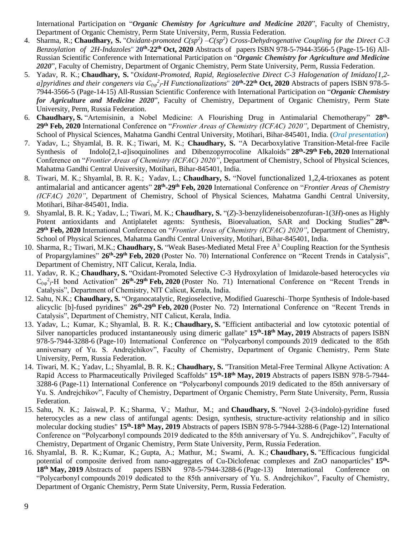International Participation on "*Organic Chemistry for Agriculture and Medicine 2020*", Faculty of Chemistry, Department of Organic Chemistry, Perm State University, Perm, Russia Federation.

- 4. Sharma, R.; Chaudhary, S. "Oxidant-promoted  $C(sp^2) C(sp^2)$  Cross-Dehydrogenative Coupling for the Direct C-3 *Benzoylation of 2H-Indazoles*" **20th -22th Oct, 2020** Abstracts of papers ISBN 978-5-7944-3566-5 (Page-15-16) All-Russian Scientific Conference with International Participation on "*Organic Chemistry for Agriculture and Medicine 2020*", Faculty of Chemistry, Department of Organic Chemistry, Perm State University, Perm, Russia Federation.
- 5. Yadav, R. K.; **Chaudhary, S.** "*Oxidant-Promoted, Rapid, Regioselective Direct C-3 Halogenation of Imidazo[1,2 a]pyridines and their congeners via C(sp 2 )-H Functionalizations*" **20th -22th Oct, 2020** Abstracts of papers ISBN 978-5- 7944-3566-5 (Page-14-15) All-Russian Scientific Conference with International Participation on "*Organic Chemistry for Agriculture and Medicine 2020*", Faculty of Chemistry, Department of Organic Chemistry, Perm State University, Perm, Russia Federation.
- 6. **Chaudhary, S.** "Artemisinin, a Nobel Medicine: A Flourishing Drug in Antimalarial Chemotherapy" **28th - 29th Feb, 2020** International Conference on "*Frontier Areas of Chemistry (ICFAC) 2020"*, Department of Chemistry, School of Physical Sciences, Mahatma Gandhi Central University, Motihari, Bihar-845401, India. (*Oral presentation*)
- 7. Yadav, L.; Shyamlal, B. R. K.; Tiwari, M. K.; **Chaudhary, S.** "A Decarboxylative Transition-Metal-free Facile Synthesis of Indolo[2,1-*a*]isoquinolines and Dibenzopyrrocoline Alkaloids" **28th -29th Feb, 2020** International Conference on "*Frontier Areas of Chemistry (ICFAC) 2020"*, Department of Chemistry, School of Physical Sciences, Mahatma Gandhi Central University, Motihari, Bihar-845401, India.
- 8. Tiwari, M. K.; Shyamlal, B. R. K.; Yadav, L.; **Chaudhary, S.** "Novel functionalized 1,2,4-trioxanes as potent antimalarial and anticancer agents" **28th -29th Feb, 2020** International Conference on "*Frontier Areas of Chemistry (ICFAC) 2020"*, Department of Chemistry, School of Physical Sciences, Mahatma Gandhi Central University, Motihari, Bihar-845401, India.
- 9. Shyamlal, B. R. K.; Yadav, L.; Tiwari, M. K.; **Chaudhary, S.** "(*Z*)-3-benzylideneisobenzofuran-1(3*H*)-ones as Highly Potent antioxidants and Antiplatelet agents: Synthesis, Bioevaluation, SAR and Docking Studies" 28<sup>th</sup>-**29th Feb, 2020** International Conference on "*Frontier Areas of Chemistry (ICFAC) 2020"*, Department of Chemistry, School of Physical Sciences, Mahatma Gandhi Central University, Motihari, Bihar-845401, India.
- 10. Sharma, R.; Tiwari, M.K.; **Chaudhary, S.** "Weak Bases-Mediated Metal Free A<sup>3</sup> Coupling Reaction for the Synthesis of Propargylamines" **26th -29th Feb, 2020** (Poster No. 70) International Conference on "Recent Trends in Catalysis", Department of Chemistry, NIT Calicut, Kerala, India.
- 11. Yadav, R. K.; **Chaudhary, S.** "Oxidant-Promoted Selective C-3 Hydroxylation of Imidazole-based heterocycles *via*  $C_{(sp)}$ -H bond Activation"  $26$ <sup>th</sup>-29<sup>th</sup> Feb, 2020 (Poster No. 71) International Conference on "Recent Trends in Catalysis", Department of Chemistry, NIT Calicut, Kerala, India.
- 12. Sahu, N.K.; **Chaudhary, S.** "Organocatalytic, Regioselective, Modified Guareschi–Thorpe Synthesis of Indole-based alicyclic [b]-fused pyridines" **26th -29th Feb, 2020** (Poster No. 72) International Conference on "Recent Trends in Catalysis", Department of Chemistry, NIT Calicut, Kerala, India.
- 13. Yadav, L.; Kumar, K.; Shyamlal, B. R. K.; **Chaudhary, S.** "Efficient antibacterial and low cytotoxic potential of Silver nanoparticles produced instantaneously using dimeric gallate" **15th -18th May, 2019** Abstracts of papers ISBN 978-5-7944-3288-6 (Page-10) International Conference on "Polycarbonyl compounds 2019 dedicated to the 85th anniversary of Yu. S. Andrejchikov", Faculty of Chemistry, Department of Organic Chemistry, Perm State University, Perm, Russia Federation.
- 14. Tiwari, M. K.; Yadav, L.; Shyamlal, B. R. K.; **Chaudhary, S.** "Transition Metal-Free Terminal Alkyne Activation: A Rapid Access to Pharmaceutically Privileged Scaffolds" **15th -18th May, 2019** Abstracts of papers ISBN 978-5-7944- 3288-6 (Page-11) International Conference on "Polycarbonyl compounds 2019 dedicated to the 85th anniversary of Yu. S. Andrejchikov", Faculty of Chemistry, Department of Organic Chemistry, Perm State University, Perm, Russia Federation.
- 15. Sahu, N. K.; Jaiswal, P. K.; Sharma, V.; Mathur, M.; and **Chaudhary, S**. "Novel 2-(3-indolo)-pyridine fused heterocycles as a new class of antifungal agents: Design, synthesis, structure-activity relationship and in silico molecular docking studies" **15th -18th May, 2019** Abstracts of papers ISBN 978-5-7944-3288-6 (Page-12) International Conference on "Polycarbonyl compounds 2019 dedicated to the 85th anniversary of Yu. S. Andrejchikov", Faculty of Chemistry, Department of Organic Chemistry, Perm State University, Perm, Russia Federation.
- 16. Shyamlal, B. R. K.; Kumar, K.; Gupta, A.; Mathur, M.; Swami, A. K.; **Chaudhary, S.** "Efficacious fungicidal potential of composite derived from nano-aggregates of Cu-Diclofenac complexes and ZnO nanoparticles" **15th - 18th May, 2019** Abstracts of papers ISBN 978-5-7944-3288-6 (Page-13) International Conference on "Polycarbonyl compounds 2019 dedicated to the 85th anniversary of Yu. S. Andrejchikov", Faculty of Chemistry, Department of Organic Chemistry, Perm State University, Perm, Russia Federation.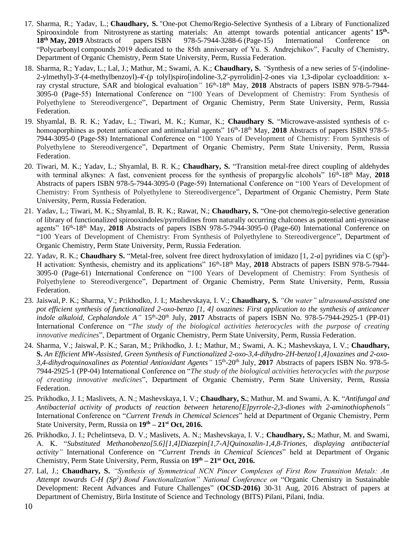- 17. Sharma, R.; Yadav, L.; **Chaudhary, S.** "One-pot Chemo/Regio-Selective Synthesis of a Library of Functionalized Spirooxindole from Nitrostyrene as starting materials: An attempt towards potential anticancer agents" 15<sup>th</sup>-**18th May, 2019** Abstracts of papers ISBN 978-5-7944-3288-6 (Page-15) International Conference on "Polycarbonyl compounds 2019 dedicated to the 85th anniversary of Yu. S. Andrejchikov", Faculty of Chemistry, Department of Organic Chemistry, Perm State University, Perm, Russia Federation.
- 18. Sharma, R.; Yadav, L.; Lal, J.; Mathur, M.; Swami, A. K.; **Chaudhary, S.** *"*Synthesis of a new series of 5'-(indoline-2-ylmethyl)-3'-(4-methylbenzoyl)-4'-(p tolyl)spiro[indoline-3,2'-pyrrolidin]-2-ones via 1,3-dipolar cycloaddition: xray crystal structure, SAR and biological evaluation"  $16<sup>th</sup> - 18<sup>th</sup>$  May, 2018 Abstracts of papers ISBN 978-5-7944-3095-0 (Page-55) International Conference on "100 Years of Development of Chemistry: From Synthesis of Polyethylene to Stereodivergence", Department of Organic Chemistry, Perm State University, Perm, Russia Federation.
- 19. Shyamlal, B. R. K.; Yadav, L.; Tiwari, M. K.; Kumar, K.; **Chaudhary S.** "Microwave-assisted synthesis of chomoaporphines as potent anticancer and antimalarial agents" 16<sup>th</sup>-18<sup>th</sup> May, **2018** Abstracts of papers ISBN 978-5-7944-3095-0 (Page-58) International Conference on "100 Years of Development of Chemistry: From Synthesis of Polyethylene to Stereodivergence", Department of Organic Chemistry, Perm State University, Perm, Russia Federation.
- 20. Tiwari, M. K.; Yadav, L.; Shyamlal, B. R. K.; **Chaudhary, S.** "Transition metal-free direct coupling of aldehydes with terminal alkynes: A fast, convenient process for the synthesis of propargylic alcohols" 16<sup>th</sup>-18<sup>th</sup> May, 2018 Abstracts of papers ISBN 978-5-7944-3095-0 (Page-59) International Conference on "100 Years of Development of Chemistry: From Synthesis of Polyethylene to Stereodivergence", Department of Organic Chemistry, Perm State University, Perm, Russia Federation.
- 21. Yadav, L.; Tiwari, M. K.; Shyamlal, B. R. K.; Rawat, N.; **Chaudhary, S.** "One-pot chemo/regio-selective generation of library of functionalized spirooxindoles/pyrrolidines from naturally occurring chalcones as potential anti-tyrosinase agents" 16<sup>th</sup>-18<sup>th</sup> May, 2018 Abstracts of papers ISBN 978-5-7944-3095-0 (Page-60) International Conference on "100 Years of Development of Chemistry: From Synthesis of Polyethylene to Stereodivergence", Department of Organic Chemistry, Perm State University, Perm, Russia Federation.
- 22. Yadav, R. K.; **Chaudhary S.** "Metal-free, solvent free direct hydroxylation of imidazo [1, 2-*a*] pyridines via C (sp<sup>2</sup> )- H activation: Synthesis, chemistry and its applications"  $16<sup>th</sup> - 18<sup>th</sup>$  May, 2018 Abstracts of papers ISBN 978-5-7944-3095-0 (Page-61) International Conference on "100 Years of Development of Chemistry: From Synthesis of Polyethylene to Stereodivergence", Department of Organic Chemistry, Perm State University, Perm, Russia Federation.
- 23. Jaiswal, P. K.; Sharma, V.; Prikhodko, J. I.; Mashevskaya, I. V.; **Chaudhary, S.** *"On water" ultrasound-assisted one pot efficient synthesis of functionalized 2-oxo-benzo [1, 4] oxazines: First application to the synthesis of anticancer*  indole alkaloid, Cephalandole A" 15<sup>th</sup>-20<sup>th</sup> July, 2017 Abstracts of papers ISBN No. 978-5-7944-2925-1 (PP-01) International Conference on "*The study of the biological activities heterocycles with the purpose of creating innovative medicines*", Department of Organic Chemistry, Perm State University, Perm, Russia Federation.
- 24. Sharma, V.; Jaiswal, P. K.; Saran, M.; Prikhodko, J. I.; Mathur, M.; Swami, A. K.; Mashevskaya, I. V.; **Chaudhary, S.** *An Efficient MW-Assisted, Green Synthesis of Functionalized 2-oxo-3,4-dihydro-2H-benzo[1,4]oxazines and 2-oxo-*3,4-dihydroquinoxalines as Potential Antioxidant Agents" 15<sup>th</sup>-20<sup>th</sup> July, 2017 Abstracts of papers ISBN No. 978-5-7944-2925-1 (PP-04) International Conference on "*The study of the biological activities heterocycles with the purpose of creating innovative medicines*", Department of Organic Chemistry, Perm State University, Perm, Russia Federation.
- 25. Prikhodko, J. I.; Maslivets, A. N.; Mashevskaya, I. V.; **Chaudhary, S.**; Mathur, M. and Swami, A. K. "*Antifungal and Antibacterial activity of products of reaction between hetareno[E]pyrrole-2,3-diones with 2-aminothiophenols"*  International Conference on "*Current Trends in Chemical Sciences*" held at Department of Organic Chemistry, Perm State University, Perm, Russia on **19th – 21st Oct, 2016.**
- 26. Prikhodko, J. I.; Pchelintseva, D. V.; Maslivets, A. N.; Mashevskaya, I. V.; **Chaudhary, S.**; Mathur, M. and Swami, A. K. "*Substituted Methanobenzo[5.6][1,4]Diazepin[1,7-A]Quinoxalin-1,4,8-Triones, displaying antibacterial activity"* International Conference on "*Current Trends in Chemical Sciences*" held at Department of Organic Chemistry, Perm State University, Perm, Russia on **19th – 21st Oct, 2016.**
- 27. Lal, J.; **Chaudhary, S.** *"Synthesis of Symmetrical NCN Pincer Complexes of First Row Transition Metals: An Attempt towards C-H (Sp<sup>2</sup> ) Bond Functionalization" National Conference on* "Organic Chemistry in Sustainable Development: Recent Advances and Future Challenges" (**OCSD-2016)** 30-31 Aug, 2016 Abstract of papers at Department of Chemistry, Birla Institute of Science and Technology (BITS) Pilani, Pilani, India.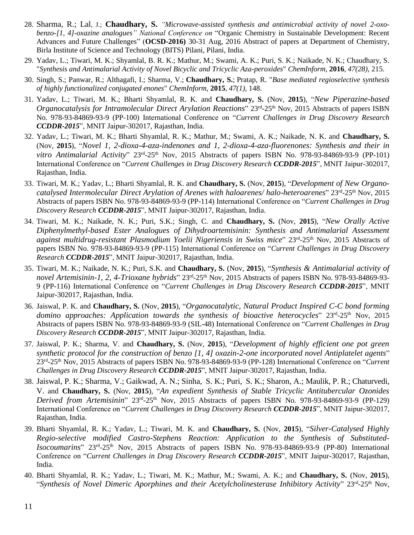- 28. Sharma, R.; Lal, J.; **Chaudhary, S.** *"Microwave-assisted synthesis and antimicrobial activity of novel 2-oxobenzo-[1, 4]-oxazine analogues" National Conference on* "Organic Chemistry in Sustainable Development: Recent Advances and Future Challenges" (**OCSD-2016)** 30-31 Aug, 2016 Abstract of papers at Department of Chemistry, Birla Institute of Science and Technology (BITS) Pilani, Pilani, India.
- 29. Yadav, L.; Tiwari, M. K.; Shyamlal, B. R. K.; Mathur, M.; Swami, A. K.; Puri, S. K.; Naikade, N. K.; Chaudhary, S. "*Synthesis and Antimalarial Activity of Novel Bicyclic and Tricyclic Aza-peroxides*" *ChemInform*, **2016**, *47(28)*, 215.
- 30. Singh, S.; Panwar, R.; Althagafi, I.; Sharma, V.; **Chaudhary, S.**; Pratap, R. "*Base mediated regioselective synthesis of highly functionalized conjugated enones*" *ChemInform*, **2015**, *47(1)*, 148.
- 31. Yadav, L.; Tiwari, M. K.; Bharti Shyamlal, R. K. and **Chaudhary, S.** (Nov, **2015**), "*New Piperazine-based*  Organocatalysis for Intramolecular Direct Arylation Reactions" 23<sup>rd</sup>-25<sup>th</sup> Nov, 2015 Abstracts of papers ISBN No. 978-93-84869-93-9 (PP-100) International Conference on "*Current Challenges in Drug Discovery Research CCDDR-2015*", MNIT Jaipur-302017, Rajasthan, India.
- 32. Yadav, L.; Tiwari, M. K.; Bharti Shyamlal, R. K.; Mathur, M.; Swami, A. K.; Naikade, N. K. and **Chaudhary, S.**  (Nov, **2015**), "*Novel 1, 2-dioxa-4-aza-indenones and 1, 2-dioxa-4-aza-fluorenones: Synthesis and their in*  vitro Antimalarial Activity" 23<sup>rd</sup>-25<sup>th</sup> Nov, 2015 Abstracts of papers ISBN No. 978-93-84869-93-9 (PP-101) International Conference on "*Current Challenges in Drug Discovery Research CCDDR-2015*", MNIT Jaipur-302017, Rajasthan, India.
- 33. Tiwari, M. K.; Yadav, L.; Bharti Shyamlal, R. K. and **Chaudhary, S.** (Nov, **2015**), "*Development of New Organo*catalysed Intermolecular Direct Arylation of Arenes with haloarenes/ halo-heteroarenes" 23<sup>rd</sup>-25<sup>th</sup> Nov, 2015 Abstracts of papers ISBN No. 978-93-84869-93-9 (PP-114) International Conference on "*Current Challenges in Drug Discovery Research CCDDR-2015*", MNIT Jaipur-302017, Rajasthan, India.
- 34. Tiwari, M. K.; Naikade, N. K.; Puri, S.K.; Singh, C. and **Chaudhary, S.** (Nov, **2015**), "*New Orally Active Diphenylmethyl-based Ester Analogues of Dihydroartemisinin: Synthesis and Antimalarial Assessment*  against multidrug-resistant Plasmodium Yoelii Nigeriensis in Swiss mice" 23<sup>rd</sup>-25<sup>th</sup> Nov, 2015 Abstracts of papers ISBN No. 978-93-84869-93-9 (PP-115) International Conference on "*Current Challenges in Drug Discovery Research CCDDR-2015*", MNIT Jaipur-302017, Rajasthan, India.
- 35. Tiwari, M. K.; Naikade, N. K.; Puri, S.K. and **Chaudhary, S.** (Nov, **2015**), "*Synthesis & Antimalarial activity of*  novel Artemisinin-1, 2, 4-Trioxane hybrids" 23<sup>rd</sup>-25<sup>th</sup> Nov, 2015 Abstracts of papers ISBN No. 978-93-84869-93-9 (PP-116) International Conference on "*Current Challenges in Drug Discovery Research CCDDR-2015*", MNIT Jaipur-302017, Rajasthan, India.
- 36. Jaiswal, P. K. and **Chaudhary, S.** (Nov, **2015**), "*Organocatalytic, Natural Product Inspired C-C bond forming*  domino approaches: Application towards the synthesis of bioactive heterocycles" 23<sup>rd</sup>-25<sup>th</sup> Nov, 2015 Abstracts of papers ISBN No. 978-93-84869-93-9 (SIL-48) International Conference on "*Current Challenges in Drug Discovery Research CCDDR-2015*", MNIT Jaipur-302017, Rajasthan, India.
- 37. Jaiswal, P. K.; Sharma, V. and **Chaudhary, S.** (Nov, **2015**), "*Development of highly efficient one pot green synthetic protocol for the construction of benzo [1, 4] oxazin-2-one incorporated novel Antiplatelet agents*" 23rd -25th Nov, 2015 Abstracts of papers ISBN No. 978-93-84869-93-9 (PP-128) International Conference on "*Current Challenges in Drug Discovery Research CCDDR-2015*", MNIT Jaipur-302017, Rajasthan, India.
- 38. Jaiswal, P. K.; Sharma, V.; Gaikwad, A. N.; Sinha, S. K.; Puri, S. K.; Sharon, A.; Maulik, P. R.; Chaturvedi, V. and **Chaudhary, S.** (Nov, **2015**), "*An expedient Synthesis of Stable Tricyclic Antitubercular Ozonides*  Derived from Artemisinin<sup>"</sup> 23<sup>rd</sup>-25<sup>th</sup> Nov, 2015 Abstracts of papers ISBN No. 978-93-84869-93-9 (PP-129) International Conference on "*Current Challenges in Drug Discovery Research CCDDR-2015*", MNIT Jaipur-302017, Rajasthan, India.
- 39. Bharti Shyamlal, R. K.; Yadav, L.; Tiwari, M. K. and **Chaudhary, S.** (Nov, **2015**), "*Silver-Catalysed Highly Regio-selective modified Castro-Stephens Reaction: Application to the Synthesis of Substituted-*Isocoumarins" 23<sup>rd</sup>-25<sup>th</sup> Nov, 2015 Abstracts of papers ISBN No. 978-93-84869-93-9 (PP-80) International Conference on "*Current Challenges in Drug Discovery Research CCDDR-2015*", MNIT Jaipur-302017, Rajasthan, India.
- 40. Bharti Shyamlal, R. K.; Yadav, L.; Tiwari, M. K.; Mathur, M.; Swami, A. K.; and **Chaudhary, S.** (Nov, **2015**), "Synthesis of Novel Dimeric Aporphines and their Acetylcholinesterase Inhibitory Activity" 23<sup>rd</sup>-25<sup>th</sup> Nov,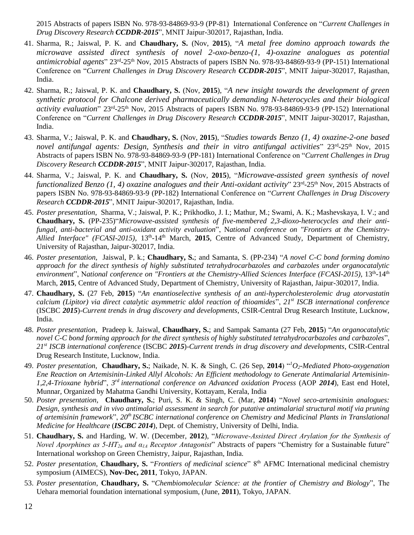2015 Abstracts of papers ISBN No. 978-93-84869-93-9 (PP-81) International Conference on "*Current Challenges in Drug Discovery Research CCDDR-2015*", MNIT Jaipur-302017, Rajasthan, India.

- 41. Sharma, R.; Jaiswal, P. K. and **Chaudhary, S.** (Nov, **2015**), "*A metal free domino approach towards the microwave assisted direct synthesis of novel 2-oxo-benzo-(1, 4)-oxazine analogues as potential*  antimicrobial agents" 23<sup>rd</sup>-25<sup>th</sup> Nov, 2015 Abstracts of papers ISBN No. 978-93-84869-93-9 (PP-151) International Conference on "*Current Challenges in Drug Discovery Research CCDDR-2015*", MNIT Jaipur-302017, Rajasthan, India.
- 42. Sharma, R.; Jaiswal, P. K. and **Chaudhary, S.** (Nov, **2015**), "*A new insight towards the development of green synthetic protocol for Chalcone derived pharmaceutically demanding N-heterocycles and their biological*  activity evaluation" 23<sup>rd</sup>-25<sup>th</sup> Nov, 2015 Abstracts of papers ISBN No. 978-93-84869-93-9 (PP-152) International Conference on "*Current Challenges in Drug Discovery Research CCDDR-2015*", MNIT Jaipur-302017, Rajasthan, India.
- 43. Sharma, V.; Jaiswal, P. K. and **Chaudhary, S.** (Nov, **2015**), "*Studies towards Benzo (1, 4) oxazine-2-one based*  novel antifungal agents: Design, Synthesis and their in vitro antifungal activities" 23<sup>rd</sup>-25<sup>th</sup> Nov, 2015 Abstracts of papers ISBN No. 978-93-84869-93-9 (PP-181) International Conference on "*Current Challenges in Drug Discovery Research CCDDR-2015*", MNIT Jaipur-302017, Rajasthan, India.
- 44. Sharma, V.; Jaiswal, P. K. and **Chaudhary, S.** (Nov, **2015**), "*Microwave-assisted green synthesis of novel*  functionalized Benzo (1, 4) oxazine analogues and their Anti-oxidant activity" 23<sup>rd</sup>-25<sup>th</sup> Nov, 2015 Abstracts of papers ISBN No. 978-93-84869-93-9 (PP-182) International Conference on "*Current Challenges in Drug Discovery Research CCDDR-2015*", MNIT Jaipur-302017, Rajasthan, India.
- 45. *Poster presentation*, Sharma, V.; Jaiswal, P. K.; Prikhodko, J. I.; Mathur, M.; Swami, A. K.; Mashevskaya, I. V.; and **Chaudhary, S.** (PP-235)"*Microwave-assisted synthesis of five-membered 2,3-dioxo-heterocycles and their antifungal, anti-bacterial and anti-oxidant activity evaluation*", N*ational conference on "Frontiers at the Chemistry-*Allied Interface" (FCASI-2015), 13<sup>th</sup>-14<sup>th</sup> March, 2015, Centre of Advanced Study, Department of Chemistry, University of Rajasthan, Jaipur-302017, India.
- 46. *Poster presentation*, Jaiswal, P. k.; **Chaudhary, S.**; and Samanta, S. (PP-234) "*A novel C-C bond forming domino approach for the direct synthesis of highly substituted tetrahydrocarbazoles and carbazoles under organocatalytic environment*", N*ational conference on "Frontiers at the Chemistry-Allied Sciences Interface (FCASI-2015)*, 13th -14th March, **2015**, Centre of Advanced Study, Department of Chemistry, University of Rajasthan, Jaipur-302017, India.
- 47. **Chaudhary, S.** (27 Feb, **2015**) "*An enantioselective synthesis of an anti-hypercholesterolemic drug atorvastatin calcium (Lipitor) via direct catalytic asymmetric aldol reaction of thioamides*", *21st ISCB international conference* (ISCBC *2015*)-*Current trends in drug discovery and developments*, CSIR-Central Drug Research Institute, Lucknow, India.
- 48. *Poster presentation*, Pradeep k. Jaiswal, **Chaudhary, S.**; and Sampak Samanta (27 Feb, **2015**) "*An organocatalytic novel C-C bond forming approach for the direct synthesis of highly substituted tetrahydrocarbazoles and carbazoles*", *21st ISCB international conference* (ISCBC *2015*)-*Current trends in drug discovery and developments*, CSIR-Central Drug Research Institute, Lucknow, India.
- 49. *Poster presentation*, **Chaudhary, S.**; Naikade, N. K. & Singh, C. (26 Sep, **2014**) "*<sup>1</sup>O2-Mediated Photo-oxygenation Ene Reaction on Artemisinin-Linked Allyl Alcohols: An Efficient methodology to Generate Antimalarial Artemisinin-1,2,4-Trioxane hybrid*", *3 rd international conference on Advanced oxidation Process* (AOP *2014*), East end Hotel, Munnar, Organized by Mahatma Gandhi University, Kottayam, Kerala, India
- 50. *Poster presentation*, **Chaudhary, S.**; Puri, S. K. & Singh, C. (Mar, **2014**) "*Novel seco-artemisinin analogues: Design, synthesis and in vivo antimalarial assessment in search for putative antimalarial structural motif via pruning of artemisinin framework*", *20th ISCBC international conference on Chemistry and Medicinal Plants in Translational Medicine for Healthcare* (*ISCBC 2014*), Dept. of Chemistry, University of Delhi, India.
- 51. **Chaudhary, S.** and Harding, W. W. (December, **2012**), "*Microwave-Assisted Direct Arylation for the Synthesis of Novel Aporphines as 5-HT2a and α1A Receptor Antagonist*" Abstracts of papers "Chemistry for a Sustainable future" International workshop on Green Chemistry, Jaipur, Rajasthan, India.
- 52. *Poster presentation*, **Chaudhary, S.** "*Frontiers of medicinal science*" 8th AFMC International medicinal chemistry symposium (AIMECS), **Nov-Dec, 2011**, Tokyo, JAPAN.
- 53. *Poster presentation*, **Chaudhary, S.** "*Chembiomolecular Science: at the frontier of Chemistry and Biology*", The Uehara memorial foundation international symposium, (June, **2011**), Tokyo, JAPAN.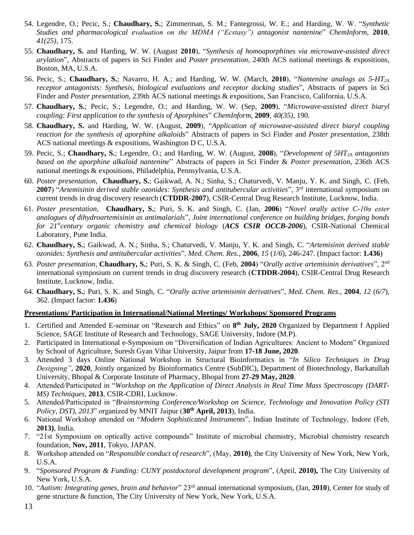- 54. Legendre, O.; Pecic, S.; **Chaudhary, S.**; Zimmerman, S. M.; Fantegrossi, W. E.; and Harding, W. W. "*Synthetic Studies and pharmacological evaluation on the MDMA ("Ecstasy") antagonist nantenine*" *ChemInform*, **2010**, *41(25)*, 175.
- 55. **Chaudhary, S.** and Harding, W. W. (August **2010**), "*Synthesis of homoaporphines via microwave-assisted direct arylation*", Abstracts of papers in Sci Finder and *Poster presentation,* 240th ACS national meetings & expositions, Boston, MA, U.S.A.
- 56. Pecic, S.; **Chaudhary, S.**; Navarro, H. A.; and Harding, W. W. (March, **2010**), "*Nantenine analogs as 5-HT2A receptor antagonists: Synthesis, biological evaluations and receptor docking studies*", Abstracts of papers in Sci Finder and *Poster presentation,* 239th ACS national meetings & expositions, San Francisco, California, U.S.A.
- 57. **Chaudhary, S.**; Pecic, S.; Legendre, O.; and Harding, W. W. (Sep, **2009**), "*Microwave-assisted direct biaryl coupling: First application to the synthesis of Aporphines*" *ChemInform*, **2009**, *40(35)*, 190.
- 58. **Chaudhary, S.** and Harding, W. W. (August, **2009**), "*Application of microwave-assisted direct biaryl coupling reaction for the synthesis of aporphine alkaloids*" Abstracts of papers in Sci Finder and *Poster presentation*, 238th ACS national meetings & expositions, Washington D C, U.S.A.
- 59. Pecic, S.; **Chaudhary, S.**; Legendre, O.; and Harding, W. W. (August, **2008**), "*Development of 5HT2A antagonists based on the aporphine alkaloid nantenine*" Abstracts of papers in Sci Finder & *Poster presentation*, 236th ACS national meetings & expositions, Philadelphia, Pennsylvania, U.S.A.
- 60. *Poster presentation*, **Chaudhary, S.**; Gaikwad, A. N.; Sinha, S.; Chaturvedi, V. Manju, Y. K. and Singh, C. (Feb, 2007) "Artemisinin derived stable ozonides: Synthesis and antitubercular activities", 3<sup>rd</sup> international symposium on current trends in drug discovery research (**CTDDR-2007**), CSIR-Central Drug Research Institute, Lucknow, India.
- 61. *Poster presentation*, **Chaudhary, S.**; Puri, S. K. and Singh, C. (Jan, **2006**) "*Novel orally active C-10α ester analogues of dihydroartemisinin as antimalarials*", *Joint international conference on building bridges, forging bonds for 21stcentury organic chemistry and chemical biology* (*ACS CSIR OCCB-2006*), CSIR-National Chemical Laboratory, Pune India.
- 62. **Chaudhary, S.**; Gaikwad, A. N.; Sinha, S.; Chaturvedi, V. Manju, Y. K. and Singh, C. "*Artemisinin derived stable ozonides: Synthesis and antitubercular activities*", *Med. Chem. Res.*, **2006**, *15* (*1/6*), 246-247. (Impact factor: **1.436**)
- 63. *Poster presentation*, **Chaudhary, S.**; Puri, S. K. & Singh, C. (Feb, **2004**) "*Orally active artemisinin derivatives*", 2nd international symposium on current trends in drug discovery research (**CTDDR-2004**), CSIR-Central Drug Research Institute, Lucknow, India.
- 64. **Chaudhary, S.**; Puri, S. K. and Singh, C. "*Orally active artemisinin derivatives*", *Med. Chem. Res.*, **2004**, *12* (*6/7*), 362. (Impact factor: **1.436**)

#### **Presentations/ Participation in International/National Meetings/ Workshops/ Sponsored Programs**

- 1. Certified and Attended E-seminar on "Research and Ethics" on **8 th July, 2020** Organized by Department f Applied Science, SAGE Institute of Research and Technology, SAGE University, Indore (M.P).
- 2. Participated in International e-Symposium on "Diversification of Indian Agricultures: Ancient to Modern" Organized by School of Agriculture, Suresh Gyan Vihar University, Jaipur from **17-18 June, 2020**.
- 3. Attended 3 days Online National Workshop in Structural Bioinformatics in "*In Silico Techniques in Drug Designing"*, **2020**, Jointly organized by Bioinformatics Centre (SubDIC), Department of Biotechnology, Barkatullah University, Bhopal & Corporate Institute of Pharmacy, Bhopal from **27-29 May, 2020**.
- 4. Attended/Participated in "*Workshop on the Application of Direct Analysis in Real Time Mass Spectroscopy (DART-MS) Techniques*, **2013**, CSIR-CDRI, Lucknow.
- 5. Attended/Participated in "*Brainstorming Conference/Workshop on Science, Technology and Innovation Policy (STI Policy, DST), 2013*" organized by MNIT Jaipur (**30th April, 2013**), India.
- 6. National Workshop attended on "*Modern Sophisticated Instruments*", Indian Institute of Technology, Indore (Feb, **2013)**, India.
- 7. "21st Symposium on optically active compounds" Institute of microbial chemistry, Microbial chemistry research foundation, **Nov, 2011**, Tokyo, JAPAN.
- 8. Workshop attended on "*Responsible conduct of research*", (May, **2010)**, the City University of New York, New York, U.S.A.
- 9. "*Sponsored Program & Funding: CUNY postdoctoral development program*", (April, **2010),** The City University of New York, U.S.A.
- 10. "*Autism: Integrating genes, brain and behavior*" 23rd annual international symposium, (Jan, **2010**), Center for study of gene structure & function, The City University of New York, New York, U.S.A.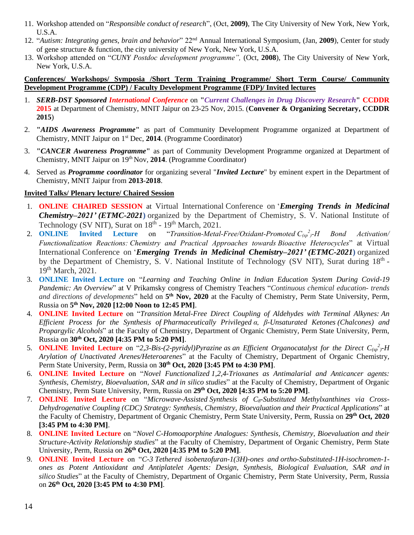- 11. Workshop attended on "*Responsible conduct of research*", (Oct, **2009)**, The City University of New York, New York, U.S.A.
- 12. "*Autism: Integrating genes, brain and behavior*" 22nd Annual International Symposium, (Jan, **2009**), Center for study of gene structure & function, the city university of New York, New York, U.S.A.
- 13. Workshop attended on "*CUNY Postdoc development programme",* (Oct, **2008**), The City University of New York, New York, U.S.A.

#### **Conferences/ Workshops/ Symposia /Short Term Training Programme/ Short Term Course/ Community Development Programme (CDP) / Faculty Development Programme (FDP)/ Invited lectures**

- 1. *SERB-DST Sponsored International Conference* on **"***Current Challenges in Drug Discovery Research***" CCDDR 2015** at Department of Chemistry, MNIT Jaipur on 23-25 Nov, 2015. (**Convener & Organizing Secretary, CCDDR 2015**)
- 2. **"***AIDS Awareness Programme***"** as part of Community Development Programme organized at Department of Chemistry, MNIT Jaipur on 1st Dec, **2014**. (Programme Coordinator)
- 3. **"***CANCER Awareness Programme***"** as part of Community Development Programme organized at Department of Chemistry, MNIT Jaipur on 19th Nov, **2014**. (Programme Coordinator)
- 4. Served as *Programme coordinator* for organizing several "*Invited Lecture*" by eminent expert in the Department of Chemistry, MNIT Jaipur from **2013**-**2018**.

#### **Invited Talks/ Plenary lecture/ Chaired Session**

- 1. **ONLINE CHAIRED SESSION** at Virtual International Conference on '*Emerging Trends in Medicinal Chemistry–2021' (ETMC-2021***)** organized by the Department of Chemistry, S. V. National Institute of Technology (SV NIT), Surat on  $18<sup>th</sup>$  -  $19<sup>th</sup>$  March, 2021.
- 2. **ONLINE** Invited Lecture on "*Transition-Metal-Free/Oxidant-Promoted*  $C_{(sp)}^2$ -H Bond Activation/ *Functionalization Reactions: Chemistry and Practical Approaches towards Bioactive Heterocycles*" at Virtual International Conference on '*Emerging Trends in Medicinal Chemistry–2021' (ETMC-2021***)** organized by the Department of Chemistry, S. V. National Institute of Technology (SV NIT), Surat during 18<sup>th</sup> -19<sup>th</sup> March, 2021.
- 3. **ONLINE Invited Lecture** on "*Learning and Teaching Online in Indian Education System During Covid-19 Pandemic: An Overview*" at V Prikamsky congress of Chemistry Teachers "*Continuous chemical education- trends*  and directions of developments" held on 5<sup>th</sup> Nov, 2020 at the Faculty of Chemistry, Perm State University, Perm, Russia on **5 th Nov, 2020 [12:00 Noon to 12:45 PM]**.
- 4. **ONLINE Invited Lecture** on "*Transition Metal-Free Direct Coupling of Aldehydes with Terminal Alkynes: An Efficient Process for the Synthesis of Pharmaceutically Privileged α, β-Unsaturated Ketones (Chalcones) and Propargylic Alcohols*" at the Faculty of Chemistry, Department of Organic Chemistry, Perm State University, Perm, Russia on **30th Oct, 2020 [4:35 PM to 5:20 PM]**.
- 5. **ONLINE Invited Lecture** on "2,3-Bis-(2-pyridyl)Pyrazine as an Efficient Organocatalyst for the Direct  $C_{(sp)}^2$ -H *Arylation of Unactivated Arenes/Heteroarenes*" at the Faculty of Chemistry, Department of Organic Chemistry, Perm State University, Perm, Russia on **30th Oct, 2020 [3:45 PM to 4:30 PM]**.
- 6. **ONLINE Invited Lecture** on "*Novel Functionalized 1,2,4-Trioxanes as Antimalarial and Anticancer agents: Synthesis, Chemistry, Bioevaluation, SAR and in silico studies*" at the Faculty of Chemistry, Department of Organic Chemistry, Perm State University, Perm, Russia on **29th Oct, 2020 [4:35 PM to 5:20 PM]**.
- 7. **ONLINE Invited Lecture** on "*Microwave-Assisted Synthesis of C8-Substituted Methylxanthines via Cross-Dehydrogenative Coupling (CDC) Strategy: Synthesis, Chemistry, Bioevaluation and their Practical Applications*" at the Faculty of Chemistry, Department of Organic Chemistry, Perm State University, Perm, Russia on **29th Oct, 2020 [3:45 PM to 4:30 PM]**.
- 8. **ONLINE Invited Lecture** on "*Novel C-Homoaporphine Analogues: Synthesis, Chemistry, Bioevaluation and their Structure-Activity Relationship studies*" at the Faculty of Chemistry, Department of Organic Chemistry, Perm State University, Perm, Russia on **26th Oct, 2020 [4:35 PM to 5:20 PM]**.
- 9. **ONLINE Invited Lecture** on "*C-3 Tethered isobenzofuran-1(3H)-ones and ortho-Substituted-1H-isochromen-1 ones as Potent Antioxidant and Antiplatelet Agents: Design, Synthesis, Biological Evaluation, SAR and in silico Studies*" at the Faculty of Chemistry, Department of Organic Chemistry, Perm State University, Perm, Russia on **26th Oct, 2020 [3:45 PM to 4:30 PM]**.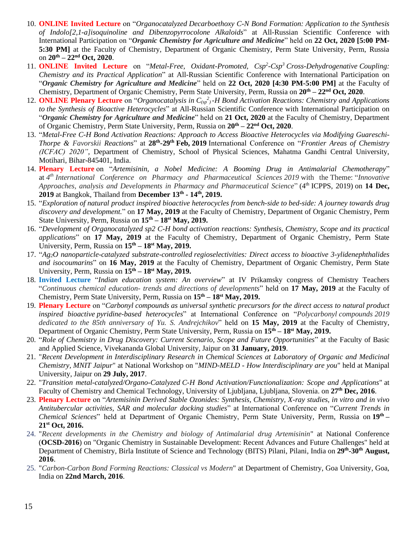- 10. **ONLINE Invited Lecture** on "*Organocatalyzed Decarboethoxy C-N Bond Formation: Application to the Synthesis of Indolo[2,1-a]isoquinoline and Dibenzopyrrocolone Alkaloids*" at All-Russian Scientific Conference with International Participation on "*Organic Chemistry for Agriculture and Medicine*" held on **22 Oct, 2020 [5:00 PM-5:30 PM**] at the Faculty of Chemistry, Department of Organic Chemistry, Perm State University, Perm, Russia on **20th – 22nd Oct, 2020**.
- 11. **ONLINE Invited Lecture** on "*Metal-Free, Oxidant-Promoted, Csp<sup>2</sup> -Csp<sup>3</sup> Cross-Dehydrogenative Coupling: Chemistry and its Practical Application*" at All-Russian Scientific Conference with International Participation on "*Organic Chemistry for Agriculture and Medicine*" held on **22 Oct, 2020 [4:30 PM-5:00 PM]** at the Faculty of Chemistry, Department of Organic Chemistry, Perm State University, Perm, Russia on **20th – 22nd Oct, 2020**.
- 12. **ONLINE Plenary Lecture** on "*Organocatalysis in*  $C_{(sp)}^2$ -*H Bond Activation Reactions: Chemistry and Applications to the Synthesis of Bioactive Heterocycles*" at All-Russian Scientific Conference with International Participation on "*Organic Chemistry for Agriculture and Medicine*" held on **21 Oct, 2020** at the Faculty of Chemistry, Department of Organic Chemistry, Perm State University, Perm, Russia on **20th – 22nd Oct, 2020**.
- 13. "*Metal-Free C-H Bond Activation Reactions: Approach to Access Bioactive Heterocycles via Modifying Guareschi-Thorpe & Favorskii Reactions*" at **28th -29th Feb, 2019** International Conference on "*Frontier Areas of Chemistry (ICFAC) 2020"*, Department of Chemistry, School of Physical Sciences, Mahatma Gandhi Central University, Motihari, Bihar-845401, India.
- 14. **Plenary Lecture** on "*Artemisinin, a Nobel Medicine: A Booming Drug in Antimalarial Chemotherapy*" at *4 th International Conference on Pharmacy and Pharmaceutical Sciences 2019* with the Theme: "*Innovative Approaches, analysis and Developments in Pharmacy and Pharmaceutical Science*" (4<sup>th</sup> ICPPS, 2019) on 14 Dec, **2019** at Bangkok, Thailand from **December 13th - 14th, 2019.**
- 15. "*Exploration of natural product inspired bioactive heterocycles from bench-side to bed-side: A journey towards drug discovery and development.*" on **17 May, 2019** at the Faculty of Chemistry, Department of Organic Chemistry, Perm State University, Perm, Russia on **15 th – 18st May, 2019.**
- 16. "*Development of Organocatalyzed sp2 C-H bond activation reactions: Synthesis, Chemistry, Scope and its practical applications*" on **17 May, 2019** at the Faculty of Chemistry, Department of Organic Chemistry, Perm State University, Perm, Russia on **15 th – 18st May, 2019.**
- 17. "*Ag2O nanoparticle-catalyzed substrate-controlled regioselectivities: Direct access to bioactive 3-ylidenephthalides and isocoumarins*" on **16 May, 2019** at the Faculty of Chemistry, Department of Organic Chemistry, Perm State University, Perm, Russia on **15 th – 18st May, 2019.**
- 18. **Invited Lecture** "*Indian education system: An overview*" at IV Prikamsky congress of Chemistry Teachers "*Continuous chemical education- trends and directions of developments*" held on **17 May, 2019** at the Faculty of Chemistry, Perm State University, Perm, Russia on **15 th – 18st May, 2019.**
- 19. **Plenary Lecture** on "*Carbonyl compounds as universal synthetic precursors for the direct access to natural product inspired bioactive pyridine-based heterocycles*" at International Conference on "*Polycarbonyl compounds 2019 dedicated to the 85th anniversary of Yu. S. Andrejchikov*" held on **15 May, 2019** at the Faculty of Chemistry, Department of Organic Chemistry, Perm State University, Perm, Russia on **15 th – 18st May, 2019.**
- 20. "*Role of Chemistry in Drug Discovery: Current Scenario, Scope and Future Opportunities*" at the Faculty of Basic and Applied Science, Vivekananda Global University, Jaipur on **31 January, 2019**.
- 21. "*Recent Development in Interdisciplinary Research in Chemical Sciences at Laboratory of Organic and Medicinal Chemistry, MNIT Jaipur*" at National Workshop on "*MIND-MELD - How Interdisciplinary are you*" held at Manipal University, Jaipur on **29 July, 2017**.
- 22. "*Transition metal-catalyzed/Organo-Catalyzed C-H Bond Activation/Functionalization: Scope and Applications*" at Faculty of Chemistry and Chemical Technology, University of Ljubljana, Ljubljana, Slovenia. on **27th Dec, 2016**.
- 23. **Plenary Lecture** on "*Artemisinin Derived Stable Ozonides: Synthesis, Chemistry, X-ray studies, in vitro and in vivo Antitubercular activities, SAR and molecular docking studies*" at International Conference on "*Current Trends in Chemical Sciences*" held at Department of Organic Chemistry, Perm State University, Perm, Russia on **19th – 21st Oct, 2016.**
- 24. "*Recent developments in the Chemistry and biology of Antimalarial drug Artemisinin*" at National Conference (**OCSD-2016**) on "Organic Chemistry in Sustainable Development: Recent Advances and Future Challenges" held at Department of Chemistry, Birla Institute of Science and Technology (BITS) Pilani, Pilani, India on **29th -30th August, 2016**.
- 25. "*Carbon-Carbon Bond Forming Reactions: Classical vs Modern*" at Department of Chemistry, Goa University, Goa, India on **22nd March, 2016**.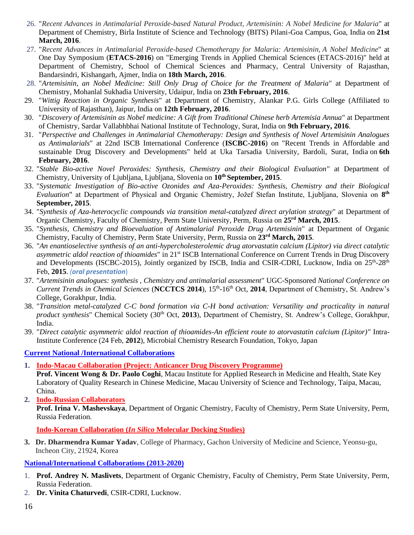- 26. "*Recent Advances in Antimalarial Peroxide-based Natural Product, Artemisinin: A Nobel Medicine for Malaria*" at Department of Chemistry, Birla Institute of Science and Technology (BITS) Pilani-Goa Campus, Goa, India on **21st March, 2016**.
- 27. "*Recent Advances in Antimalarial Peroxide-based Chemotherapy for Malaria: Artemisinin, A Nobel Medicine*" at One Day Symposium (**ETACS-2016**) on "Emerging Trends in Applied Chemical Sciences (ETACS-2016)" held at Department of Chemistry, School of Chemical Sciences and Pharmacy, Central University of Rajasthan, Bandarsindri, Kishangarh, Ajmer, India on **18th March, 2016**.
- 28. "*Artemisinin, an Nobel Medicine: Still Only Drug of Choice for the Treatment of Malaria*" at Department of Chemistry, Mohanlal Sukhadia University, Udaipur, India on **23th February, 2016**.
- 29. "*Wittig Reaction in Organic Synthesis*" at Department of Chemistry, Alankar P.G. Girls College (Affiliated to University of Rajasthan), Jaipur, India on **12th February, 2016**.
- 30. "*Discovery of Artemisinin as Nobel medicine: A Gift from Traditional Chinese herb Artemisia Annua*" at Department of Chemistry, Sardar Vallabhbhai National Institute of Technology, Surat, India on **9th February, 2016**.
- 31. "*Perspective and Challenges in Antimalarial Chemotherapy: Design and Synthesis of Novel Artemisinin Analogues as Antimalarials*" at 22nd ISCB International Conference (**ISCBC-2016**) on "Recent Trends in Affordable and sustainable Drug Discovery and Developments" held at Uka Tarsadia University, Bardoli, Surat, India on **6th February, 2016**.
- 32. "*Stable Bio-active Novel Peroxides: Synthesis, Chemistry and their Biological Evaluation"* at Department of Chemistry, University of Ljubljana, Ljubljana, Slovenia on **10th September, 2015**.
- 33. "*Systematic Investigation of Bio-active Ozonides and Aza-Peroxides: Synthesis, Chemistry and their Biological Evaluation*" at Department of Physical and Organic Chemistry, Jožef Stefan Institute, Ljubljana, Slovenia on **8 th September, 2015**.
- 34. "*Synthesis of Aza-heterocyclic compounds via transition metal-catalyzed direct arylation strategy*" at Department of Organic Chemistry, Faculty of Chemistry, Perm State University, Perm, Russia on **25rd March, 2015**.
- 35. "*Synthesis, Chemistry and Bioevaluation of Antimalarial Peroxide Drug Artemisinin*" at Department of Organic Chemistry, Faculty of Chemistry, Perm State University, Perm, Russia on **23rd March, 2015**.
- 36. "*An enantioselective synthesis of an anti-hypercholesterolemic drug atorvastatin calcium (Lipitor) via direct catalytic asymmetric aldol reaction of thioamides*" in 21st ISCB International Conference on Current Trends in Drug Discovery and Developments (ISCBC-2015), Jointly organized by ISCB, India and CSIR-CDRI, Lucknow, India on 25<sup>th</sup>-28<sup>th</sup> Feb, **2015**. *(oral presentation*)
- 37. "*Artemisinin analogues: synthesis , Chemistry and antimalarial assessment*" UGC-Sponsored *National Conference on*  Current Trends in Chemical Sciences (NCCTCS 2014), 15<sup>th</sup>-16<sup>th</sup> Oct, 2014, Department of Chemistry, St. Andrew's College, Gorakhpur, India.
- 38. "*Transition metal-catalyzed C-C bond formation via C-H bond activation: Versatility and practicality in natural product synthesis*" Chemical Society (30<sup>th</sup> Oct, 2013), Department of Chemistry, St. Andrew's College, Gorakhpur, India.
- 39. "*Direct catalytic asymmetric aldol reaction of thioamides-An efficient route to atorvastatin calcium (Lipitor)"* Intra-Institute Conference (24 Feb, **2012**), Microbial Chemistry Research Foundation, Tokyo, Japan

#### **Current National /International Collaborations**

**1. Indo-Macau Collaboration (Project: Anticancer Drug Discovery Programme)**

**Prof. Vincent Wong & Dr. Paolo Coghi**, Macau Institute for Applied Research in Medicine and Health, State Key Laboratory of Quality Research in Chinese Medicine, Macau University of Science and Technology, Taipa, Macau, China.

**2. Indo-Russian Collaborators**

**Prof. Irina V. Mashevskaya**, Department of Organic Chemistry, Faculty of Chemistry, Perm State University, Perm, Russia Federation.

**Indo-Korean Collaboration (***In Silico* **Molecular Docking Studies)**

**3. Dr. Dharmendra Kumar Yadav**, College of Pharmacy, Gachon University of Medicine and Science, Yeonsu-gu, Incheon City, 21924, Korea

#### **National/International Collaborations (2013-2020)**

- 1. **Prof. Andrey N. Maslivets**, Department of Organic Chemistry, Faculty of Chemistry, Perm State University, Perm, Russia Federation.
- 2. **Dr. Vinita Chaturvedi**, CSIR-CDRI, Lucknow.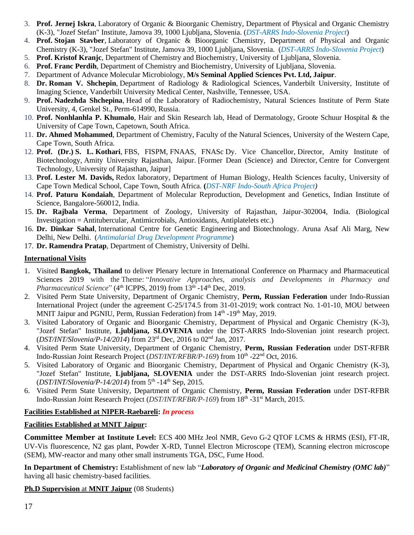- 3. **Prof. Jernej Iskra**, Laboratory of Organic & Bioorganic Chemistry, Department of Physical and Organic Chemistry (K-3), "Jozef Stefan" Institute, Jamova 39, 1000 Ljubljana, Slovenia. (*DST-ARRS Indo-Slovenia Project*)
- 4. **Prof. Stojan Stavber**, Laboratory of Organic & Bioorganic Chemistry, Department of Physical and Organic Chemistry (K-3), "Jozef Stefan" Institute, Jamova 39, 1000 Ljubljana, Slovenia. (*DST-ARRS Indo-Slovenia Project*)
- 5. **Prof. Kristof Kranjc**, Department of Chemistry and Biochemistry, University of Ljubljana, Slovenia.
- 6. **Prof. Franc Perdih**, Department of Chemistry and Biochemistry, University of Ljubljana, Slovenia.
- 7. Department of Advance Molecular Microbiology, **M/s Seminal Applied Sciences Pvt. Ltd, Jaipur**.
- 8. **Dr. Roman V. Shchepin**, Department of Radiology & Radiological Sciences, Vanderbilt University, Institute of Imaging Science, Vanderbilt University Medical Center, Nashville, Tennessee, USA.
- 9. **Prof. Nadezhda Shchepina**, Head of the Laboratory of Radiochemistry, Natural Sciences Institute of Perm State University, 4, Genkel St., Perm-614990, Russia.
- 10. **Prof. Nonhlanhla P. Khumalo**, Hair and Skin Research lab, Head of Dermatology, Groote Schuur Hospital & the University of Cape Town, Capetown, South Africa.
- 11. **Dr. Ahmed Mohammed**, Department of Chemistry, Faculty of the Natural Sciences, University of the Western Cape, Cape Town, South Africa.
- 12. **Prof. (Dr.) S. L. Kothari**, FBS, FISPM, FNAAS, FNASc Dy. Vice Chancellor, Director, Amity Institute of Biotechnology, Amity University Rajasthan, Jaipur. [Former Dean (Science) and Director, Centre for Convergent Technology, University of Rajasthan, Jaipur]
- 13. **Prof. Lester M. Davids,** Redox laboratory, Department of Human Biology, Health Sciences faculty, University of Cape Town Medical School, Cape Town, South Africa. **(***DST-NRF Indo-South Africa Project)*
- 14. **Prof. Paturu Kondaiah**, Department of Molecular Reproduction, Development and Genetics, Indian Institute of Science, Bangalore-560012, India.
- 15. **Dr. Rajbala Verma**, Department of Zoology, University of Rajasthan, Jaipur-302004, India. (Biological Investigation = Antitubercular, Antimicrobials, Antioxidants, Antiplatelets etc.)
- 16. **Dr. Dinkar Sahal**, International Centre for Genetic Engineering and Biotechnology. Aruna Asaf Ali Marg, New Delhi, New Delhi. (*Antimalarial Drug Development Programme*)
- 17. **Dr. Ramendra Pratap**, Department of Chemistry, University of Delhi.

#### **International Visits**

- 1. Visited **Bangkok, Thailand** to deliver Plenary lecture in International Conference on Pharmacy and Pharmaceutical Sciences 2019 with the Theme: "*Innovative Approaches, analysis and Developments in Pharmacy and*  Pharmaceutical Science" (4<sup>th</sup> ICPPS, 2019) from 13<sup>th</sup> -14<sup>th</sup> Dec, 2019.
- 2. Visited Perm State University, Department of Organic Chemistry, **Perm, Russian Federation** under Indo-Russian International Project (under the agreement C-25/174.5 from 31-01-2019; work contract No. 1-01-10, MOU between MNIT Jaipur and PGNIU, Perm, Russian Federation) from 14<sup>th</sup> -19<sup>th</sup> May, 2019.
- 3. Visited Laboratory of Organic and Bioorganic Chemistry, Department of Physical and Organic Chemistry (K-3), "Jozef Stefan" Institute, **Ljubljana, SLOVENIA** under the DST-ARRS Indo-Slovenian joint research project. (*DST/INT/Slovenia/P-14/2014*) from 23rd Dec, 2016 to 02nd Jan, 2017.
- 4. Visited Perm State University, Department of Organic Chemistry, **Perm, Russian Federation** under DST-RFBR Indo-Russian Joint Research Project (*DST/INT/RFBR/P-169*) from 10<sup>th</sup> -22<sup>nd</sup> Oct, 2016.
- 5. Visited Laboratory of Organic and Bioorganic Chemistry, Department of Physical and Organic Chemistry (K-3), "Jozef Stefan" Institute, **Ljubljana, SLOVENIA** under the DST-ARRS Indo-Slovenian joint research project. (*DST/INT/Slovenia/P-14/2014*) from 5<sup>th</sup> -14<sup>th</sup> Sep, 2015.
- 6. Visited Perm State University, Department of Organic Chemistry, **Perm, Russian Federation** under DST-RFBR Indo-Russian Joint Research Project (*DST/INT/RFBR/P-169*) from 18th -31st March, 2015.

#### **Facilities Established at NIPER-Raebareli:** *In process*

#### **Facilities Established at MNIT Jaipur:**

**Committee Member at Institute Level:** ECS 400 MHz Jeol NMR, Gevo G-2 QTOF LCMS & HRMS (ESI), FT-IR, UV-Vis fluorescence, N2 gas plant, Powder X-RD, Tunnel Electron Microscope (TEM), Scanning electron microscope (SEM), MW-reactor and many other small instruments TGA, DSC, Fume Hood.

**In Department of Chemistry:** Establishment of new lab "*Laboratory of Organic and Medicinal Chemistry (OMC lab)*" having all basic chemistry-based facilities.

**Ph.D Supervision** at **MNIT Jaipur** (08 Students)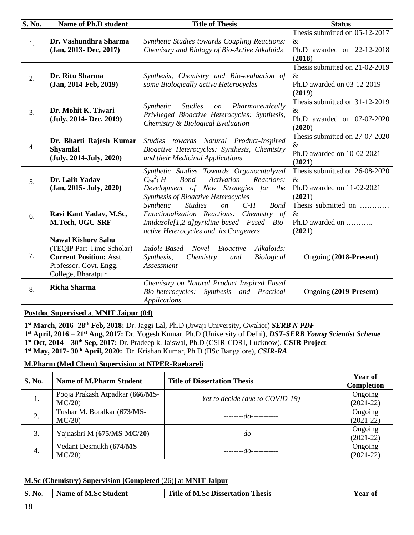| S. No. | Name of Ph.D student                                                                                                                     | <b>Title of Thesis</b>                                                                                                                                                                                    | <b>Status</b>                                                                  |
|--------|------------------------------------------------------------------------------------------------------------------------------------------|-----------------------------------------------------------------------------------------------------------------------------------------------------------------------------------------------------------|--------------------------------------------------------------------------------|
| 1.     | Dr. Vashundhra Sharma<br>(Jan, 2013- Dec, 2017)                                                                                          | <b>Synthetic Studies towards Coupling Reactions:</b><br>Chemistry and Biology of Bio-Active Alkaloids                                                                                                     | Thesis submitted on 05-12-2017<br>$\&$<br>Ph.D awarded on 22-12-2018<br>(2018) |
| 2.     | Dr. Ritu Sharma<br>$(Jan, 2014$ -Feb, 2019)                                                                                              | Synthesis, Chemistry and Bio-evaluation of<br>some Biologically active Heterocycles                                                                                                                       | Thesis submitted on 21-02-2019<br>$\&$<br>Ph.D awarded on 03-12-2019<br>(2019) |
| 3.     | Dr. Mohit K. Tiwari<br>(July, 2014- Dec, 2019)                                                                                           | <b>Studies</b><br>on Pharmaceutically<br>Synthetic<br>Privileged Bioactive Heterocycles: Synthesis,<br>Chemistry & Biological Evaluation                                                                  | Thesis submitted on 31-12-2019<br>$\&$<br>Ph.D awarded on 07-07-2020<br>(2020) |
| 4.     | Dr. Bharti Rajesh Kumar<br><b>Shyamlal</b><br>(July, 2014-July, 2020)                                                                    | Studies towards Natural Product-Inspired<br>Bioactive Heterocycles: Synthesis, Chemistry<br>and their Medicinal Applications                                                                              | Thesis submitted on 27-07-2020<br>$\&$<br>Ph.D awarded on 10-02-2021<br>(2021) |
| 5.     | Dr. Lalit Yadav<br>$(Jan, 2015 - July, 2020)$                                                                                            | Synthetic Studies Towards Organocatalyzed<br>$C_{(sp}^2)$ -H<br><b>Bond</b><br>Activation<br>Reactions:<br>Development of New Strategies for the<br>Synthesis of Bioactive Heterocycles                   | Thesis submitted on 26-08-2020<br>$\&$<br>Ph.D awarded on 11-02-2021<br>(2021) |
| 6.     | Ravi Kant Yadav, M.Sc,<br>M.Tech, UGC-SRF                                                                                                | $C-H$<br><b>Bond</b><br>Synthetic<br><b>Studies</b><br>$\mathfrak{O}n$<br>Functionalization Reactions: Chemistry of<br>Imidazole[1,2-a]pyridine-based Fused Bio-<br>active Heterocycles and its Congeners | Thesis submitted on<br>$\&$<br>Ph.D awarded on<br>(2021)                       |
| 7.     | <b>Nawal Kishore Sahu</b><br>(TEQIP Part-Time Scholar)<br><b>Current Position: Asst.</b><br>Professor, Govt. Engg.<br>College, Bharatpur | Alkaloids:<br>Indole-Based<br><b>Novel</b><br><i>Bioactive</i><br>Synthesis,<br>Chemistry<br><b>Biological</b><br>and<br>Assessment                                                                       | Ongoing (2018-Present)                                                         |
| 8.     | <b>Richa Sharma</b>                                                                                                                      | Chemistry on Natural Product Inspired Fused<br>Synthesis and Practical<br>Bio-heterocycles:<br><b>Applications</b>                                                                                        | Ongoing (2019-Present)                                                         |

#### **Postdoc Supervised** at **MNIT Jaipur (04)**

 **st March, 2016- 28th Feb, 2018:** Dr. Jaggi Lal, Ph.D (Jiwaji University, Gwalior) *SERB N PDF* **st April, 2016 – 21st Aug, 2017:** Dr. Yogesh Kumar, Ph.D (University of Delhi), *DST-SERB Young Scientist Scheme* **st Oct, 2014 – 30th Sep, 2017:** Dr. Pradeep k. Jaiswal, Ph.D (CSIR-CDRI, Lucknow), **CSIR Project st May, 2017- 30th April, 2020:** Dr. Krishan Kumar, Ph.D (IISc Bangalore), *CSIR-RA*

#### **M.Pharm (Med Chem) Supervision at NIPER-Raebareli**

| S. No. | <b>Name of M.Pharm Student</b>           | <b>Title of Dissertation Thesis</b> | <b>Year of</b><br>Completion |
|--------|------------------------------------------|-------------------------------------|------------------------------|
| 1.     | Pooja Prakash Atpadkar (666/MS-<br>MC/20 | Yet to decide (due to COVID-19)     | Ongoing<br>$(2021-22)$       |
| 2.     | Tushar M. Boralkar (673/MS-<br>MC/20     | $\frac{1}{2}$                       | Ongoing<br>$(2021-22)$       |
|        | Yajnashri M (675/MS-MC/20)               | -------- <i>do-----------</i>       | Ongoing<br>$(2021-22)$       |
| 4.     | Vedant Desmukh (674/MS-<br>MC/20         | $\frac{1}{2}$                       | Ongoing<br>$(2021-22)$       |

#### **M.Sc (Chemistry) Supervision [Completed** (26)**]** at **MNIT Jaipur**

| <b>S. No.</b> | Name of M.Sc Student | <b>Title of M.Sc Dissertation Thesis</b> | Year oi |
|---------------|----------------------|------------------------------------------|---------|
|---------------|----------------------|------------------------------------------|---------|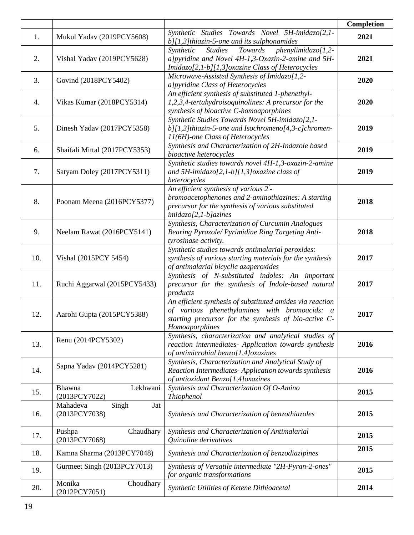|     |                                           |                                                                                                                                                                                       | Completion |
|-----|-------------------------------------------|---------------------------------------------------------------------------------------------------------------------------------------------------------------------------------------|------------|
| 1.  | Mukul Yadav (2019PCY5608)                 | Synthetic Studies Towards Novel 5H-imidazo[2,1-<br>$b$ ][1,3]thiazin-5-one and its sulphonamides                                                                                      | 2021       |
| 2.  | Vishal Yadav (2019PCY5628)                | Towards<br>$phenylimidazo[1,2-$<br>Synthetic<br><b>Studies</b><br>a]pyridine and Novel 4H-1,3-Oxazin-2-amine and 5H-<br>Imidazo[2,1-b][1,3] oxazine Class of Heterocycles             | 2021       |
| 3.  | Govind (2018PCY5402)                      | Microwave-Assisted Synthesis of Imidazo[1,2-<br>a]pyridine Class of Heterocycles                                                                                                      | 2020       |
| 4.  | Vikas Kumar (2018PCY5314)                 | An efficient synthesis of substituted 1-phenethyl-<br>1,2,3,4-tertahydroisoquinolines: A precursor for the<br>synthesis of bioactive C-homoaporphines                                 | 2020       |
| 5.  | Dinesh Yadav (2017PCY5358)                | Synthetic Studies Towards Novel 5H-imidazo[2,1-<br>$b$ ][1,3]thiazin-5-one and Isochromeno[4,3-c]chromen-<br>11(6H)-one Class of Heterocycles                                         | 2019       |
| 6.  | Shaifali Mittal (2017PCY5353)             | Synthesis and Characterization of 2H-Indazole based<br>bioactive heterocycles                                                                                                         | 2019       |
| 7.  | Satyam Doley (2017PCY5311)                | Synthetic studies towards novel 4H-1,3-oxazin-2-amine<br>and 5H-imidazo[2,1-b][1,3]oxazine class of<br>heterocycles                                                                   | 2019       |
| 8.  | Poonam Meena (2016PCY5377)                | An efficient synthesis of various 2'-<br>bromoacetophenones and 2-aminothiazines: A starting<br>precursor for the synthesis of various substituted<br>$imidazo[2,1-b]azines$          | 2018       |
| 9.  | Neelam Rawat (2016PCY5141)                | Synthesis, Characterization of Curcumin Analogues<br>Bearing Pyrazole/ Pyrimidine Ring Targeting Anti-<br>tyrosinase activity.                                                        | 2018       |
| 10. | Vishal (2015PCY 5454)                     | Synthetic studies towards antimalarial peroxides:<br>synthesis of various starting materials for the synthesis<br>of antimalarial bicyclic azaperoxides                               | 2017       |
| 11. | Ruchi Aggarwal (2015PCY5433)              | Synthesis of N-substituted indoles: An important<br>precursor for the synthesis of Indole-based natural<br>products                                                                   | 2017       |
| 12. | Aarohi Gupta (2015PCY5388)                | An efficient synthesis of substituted amides via reaction<br>of various phenethylamines with bromoacids: a<br>starting precursor for the synthesis of bio-active C-<br>Homoaporphines | 2017       |
| 13. | Renu (2014PCY5302)                        | Synthesis, characterization and analytical studies of<br>reaction intermediates- Application towards synthesis<br>of antimicrobial benzo[1,4]oxazines                                 | 2016       |
| 14. | Sapna Yadav (2014PCY5281)                 | Synthesis, Characterization and Analytical Study of<br>Reaction Intermediates-Application towards synthesis<br>of antioxidant Benzo[1,4]oxazines                                      | 2016       |
| 15. | Lekhwani<br>Bhawna<br>(2013PCY7022)       | Synthesis and Characterization Of O-Amino<br><b>Thiophenol</b>                                                                                                                        | 2015       |
| 16. | Singh<br>Mahadeva<br>Jat<br>(2013PCY7038) | Synthesis and Characterization of benzothiazoles                                                                                                                                      | 2015       |
| 17. | Pushpa<br>Chaudhary<br>(2013PCY7068)      | Synthesis and Characterization of Antimalarial<br>Quinoline derivatives                                                                                                               | 2015       |
| 18. | Kamna Sharma (2013PCY7048)                | Synthesis and Characterization of benzodiazipines                                                                                                                                     | 2015       |
| 19. | Gurmeet Singh (2013PCY7013)               | Synthesis of Versatile intermediate "2H-Pyran-2-ones"<br>for organic transformations                                                                                                  | 2015       |
| 20. | Monika<br>Choudhary<br>(2012PCY7051)      | Synthetic Utilities of Ketene Dithioacetal                                                                                                                                            | 2014       |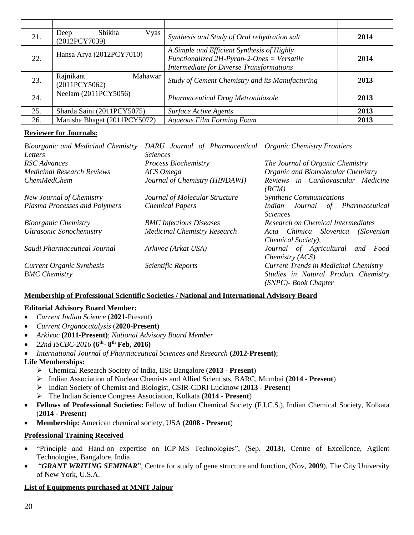| 21. | Shikha<br>Vyas  <br>Deep<br>(2012PCY7039) | Synthesis and Study of Oral rehydration salt                                                                                                | 2014 |
|-----|-------------------------------------------|---------------------------------------------------------------------------------------------------------------------------------------------|------|
| 22. | Hansa Arya (2012PCY7010)                  | A Simple and Efficient Synthesis of Highly<br>Functionalized 2H-Pyran-2-Ones = Versatile<br><b>Intermediate for Diverse Transformations</b> | 2014 |
| 23. | Rajnikant<br>Mahawar<br>(2011PCY5062)     | Study of Cement Chemistry and its Manufacturing                                                                                             | 2013 |
| 24. | Neelam (2011PCY5056)                      | <b>Pharmaceutical Drug Metronidazole</b>                                                                                                    | 2013 |
| 25. | Sharda Saini (2011PCY5075)                | <b>Surface Active Agents</b>                                                                                                                | 2013 |
| 26. | Manisha Bhagat (2011PCY5072)              | Aqueous Film Forming Foam                                                                                                                   | 2013 |

#### **Reviewer for Journals:**

| Bioorganic and Medicinal Chemistry | DARU Journal of Pharmaceutical Organic Chemistry Frontiers |                                              |
|------------------------------------|------------------------------------------------------------|----------------------------------------------|
| Letters                            | <i>Sciences</i>                                            |                                              |
| RSC Advances                       | <b>Process Biochemistry</b>                                | The Journal of Organic Chemistry             |
| <b>Medicinal Research Reviews</b>  | ACS Omega                                                  | Organic and Biomolecular Chemistry           |
| <i>ChemMedChem</i>                 | Journal of Chemistry (HINDAWI)                             | Reviews in Cardiovascular Medicine           |
|                                    |                                                            | (RCM)                                        |
| New Journal of Chemistry           | Journal of Molecular Structure                             | <b>Synthetic Communications</b>              |
| Plasma Processes and Polymers      | <b>Chemical Papers</b>                                     | Indian Journal of Pharmaceutical             |
|                                    |                                                            | <i>Sciences</i>                              |
| <b>Bioorganic Chemistry</b>        | <b>BMC</b> Infectious Diseases                             | Research on Chemical Intermediates           |
| <b>Ultrasonic Sonochemistry</b>    | <b>Medicinal Chemistry Research</b>                        | Acta Chimica Slovenica<br>(Slovenian         |
|                                    |                                                            | Chemical Society),                           |
| Saudi Pharmaceutical Journal       | Arkivoc (Arkat USA)                                        | Journal of Agricultural and Food             |
|                                    |                                                            | Chemistry (ACS)                              |
| <b>Current Organic Synthesis</b>   | Scientific Reports                                         | <b>Current Trends in Medicinal Chemistry</b> |
| <b>BMC</b> Chemistry               |                                                            | Studies in Natural Product Chemistry         |
|                                    |                                                            | (SNPC)- Book Chapter                         |

#### **Membership of Professional Scientific Societies / National and International Advisory Board**

#### **Editorial Advisory Board Member:**

- *Current Indian Science* (**2021**-Present)
- *Current Organocatalysis* (**2020-Present**)
- *Arkivoc* **(2011-Present)**; *National Advisory Board Member*
- *22nd ISCBC-2016* **(6th - 8 th Feb, 2016)**
- *International Journal of Pharmaceutical Sciences and Research* **(2012-Present)**;

#### **Life Memberships:**

- ➢ Chemical Research Society of India, IISc Bangalore (**2013 Present**)
- ➢ Indian Association of Nuclear Chemists and Allied Scientists, BARC, Mumbai (**2014 Present**)
- ➢ Indian Society of Chemist and Biologist, CSIR-CDRI Lucknow (**2013 Present**)
- ➢ The Indian Science Congress Association, Kolkata (**2014 Present**)
- **Fellows of Professional Societies:** Fellow of Indian Chemical Society (F.I.C.S.), Indian Chemical Society, Kolkata (**2014** - **Present**)
- **Membership:** American chemical society, USA (**2008 Present**)

#### **Professional Training Received**

- "Principle and Hand-on expertise on ICP-MS Technologies", (Sep, **2013**), Centre of Excellence, Agilent Technologies, Bangalore, India.
- "*GRANT WRITING SEMINAR*", Centre for study of gene structure and function, (Nov, **2009**), The City University of New York, U.S.A.

#### **List of Equipments purchased at MNIT Jaipur**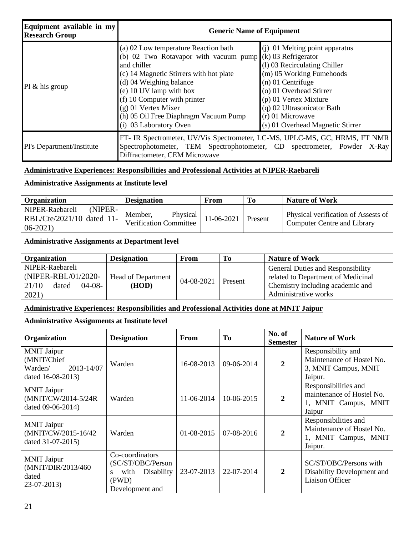| Equipment available in my<br><b>Research Group</b> | <b>Generic Name of Equipment</b>                                                                                                                                                                                                                                                                                                              |                                                                                                                                                                                                                                                                 |  |  |
|----------------------------------------------------|-----------------------------------------------------------------------------------------------------------------------------------------------------------------------------------------------------------------------------------------------------------------------------------------------------------------------------------------------|-----------------------------------------------------------------------------------------------------------------------------------------------------------------------------------------------------------------------------------------------------------------|--|--|
| PI $&$ his group                                   | (a) 02 Low temperature Reaction bath<br>(b) 02 Two Rotavapor with vacuum pump $(k)$ 03 Refrigerator<br>and chiller<br>(c) 14 Magnetic Stirrers with hot plate<br>(d) 04 Weighing balance<br>(e) 10 UV lamp with box<br>(f) 10 Computer with printer<br>(g) 01 Vertex Mixer<br>(h) 05 Oil Free Diaphragm Vacuum Pump<br>(i) 03 Laboratory Oven | (i) 01 Melting point apparatus<br>(1) 03 Recirculating Chiller<br>(m) 05 Working Fumehoods<br>$(n)$ 01 Centrifuge<br>(o) 01 Overhead Stirrer<br>$(p)$ 01 Vertex Mixture<br>(q) 02 Ultrasonicator Bath<br>$(r)$ 01 Microwave<br>(s) 01 Overhead Magnetic Stirrer |  |  |
| PI's Department/Institute                          | FT- IR Spectrometer, UV/Vis Spectrometer, LC-MS, UPLC-MS, GC, HRMS, FT NMR<br>Spectrophotometer, TEM Spectrophotometer, CD spectrometer, Powder X-Ray<br>Diffractometer, CEM Microwave                                                                                                                                                        |                                                                                                                                                                                                                                                                 |  |  |

### **Administrative Experiences: Responsibilities and Professional Activities at NIPER-Raebareli**

### **Administrative Assignments at Institute level**

| <b>Organization</b>        | <b>Designation</b>                            | From       | To.     | <b>Nature of Work</b>                                              |
|----------------------------|-----------------------------------------------|------------|---------|--------------------------------------------------------------------|
| (NIPER-<br>NIPER-Raebareli |                                               |            |         |                                                                    |
| RBL/Cte/2021/10 dated 11-  | Member,<br>Physical<br>Verification Committee | 11-06-2021 | Present | Physical verification of Assests of<br>Computer Centre and Library |
| $06-2021$                  |                                               |            |         |                                                                    |

#### **Administrative Assignments at Department level**

| <b>Organization</b>                                                          | <b>Designation</b>                 | From       | To      | <b>Nature of Work</b>                                                                                                                      |
|------------------------------------------------------------------------------|------------------------------------|------------|---------|--------------------------------------------------------------------------------------------------------------------------------------------|
| NIPER-Raebareli<br>(NIPER-RBL/01/2020-<br>$04-08-$<br>21/10<br>dated<br>2021 | <b>Head of Department</b><br>(HOD) | 04-08-2021 | Present | <b>General Duties and Responsibility</b><br>related to Department of Medicinal<br>Chemistry including academic and<br>Administrative works |

### **Administrative Experiences: Responsibilities and Professional Activities done at MNIT Jaipur**

#### **Administrative Assignments at Institute level**

| Organization                                                                    | <b>Designation</b>                                                                                | From             | To         | No. of<br><b>Semester</b> | <b>Nature of Work</b>                                                                |
|---------------------------------------------------------------------------------|---------------------------------------------------------------------------------------------------|------------------|------------|---------------------------|--------------------------------------------------------------------------------------|
| <b>MNIT Jaipur</b><br>(MNIT/Chief<br>2013-14/07<br>Warden/<br>dated 16-08-2013) | Warden                                                                                            | $16 - 08 - 2013$ | 09-06-2014 | $\overline{2}$            | Responsibility and<br>Maintenance of Hostel No.<br>3, MNIT Campus, MNIT<br>Jaipur.   |
| <b>MNIT Jaipur</b><br>(MNIT/CW/2014-5/24R<br>dated 09-06-2014)                  | Warden                                                                                            | 11-06-2014       | 10-06-2015 | $\boldsymbol{2}$          | Responsibilities and<br>maintenance of Hostel No.<br>1, MNIT Campus, MNIT<br>Jaipur  |
| <b>MNIT Jaipur</b><br>(MNIT/CW/2015-16/42)<br>dated 31-07-2015)                 | Warden                                                                                            | 01-08-2015       | 07-08-2016 | $\boldsymbol{2}$          | Responsibilities and<br>Maintenance of Hostel No.<br>1, MNIT Campus, MNIT<br>Jaipur. |
| <b>MNIT</b> Jaipur<br>(MNIT/DIR/2013/460)<br>dated<br>$23-07-2013$              | Co-coordinators<br>(SC/ST/OBC/Person<br>with<br>Disability<br>$S_{-}$<br>(PWD)<br>Development and | 23-07-2013       | 22-07-2014 | $\overline{2}$            | SC/ST/OBC/Persons with<br>Disability Development and<br><b>Liaison Officer</b>       |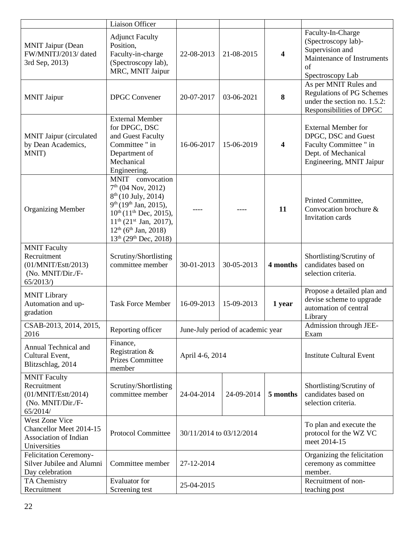|                                                                                            | Liaison Officer                                                                                                                                                                                                                                                                                    |                          |                                   |                         |                                                                                                                                |
|--------------------------------------------------------------------------------------------|----------------------------------------------------------------------------------------------------------------------------------------------------------------------------------------------------------------------------------------------------------------------------------------------------|--------------------------|-----------------------------------|-------------------------|--------------------------------------------------------------------------------------------------------------------------------|
| <b>MNIT Jaipur (Dean</b><br>FW/MNITJ/2013/dated<br>3rd Sep, 2013)                          | <b>Adjunct Faculty</b><br>Position.<br>Faculty-in-charge<br>(Spectroscopy lab),<br>MRC, MNIT Jaipur                                                                                                                                                                                                | 22-08-2013               | 21-08-2015                        | $\overline{\mathbf{4}}$ | Faculty-In-Charge<br>(Spectroscopy lab)-<br>Supervision and<br>Maintenance of Instruments<br>of<br>Spectroscopy Lab            |
| <b>MNIT Jaipur</b>                                                                         | <b>DPGC</b> Convener                                                                                                                                                                                                                                                                               | 20-07-2017               | 03-06-2021                        | 8                       | As per MNIT Rules and<br>Regulations of PG Schemes<br>under the section no. 1.5.2:<br>Responsibilities of DPGC                 |
| <b>MNIT Jaipur (circulated)</b><br>by Dean Academics,<br>MNIT)                             | <b>External Member</b><br>for DPGC, DSC<br>and Guest Faculty<br>Committee " in<br>Department of<br>Mechanical<br>Engineering.                                                                                                                                                                      | 16-06-2017               | 15-06-2019                        | $\overline{\mathbf{4}}$ | <b>External Member for</b><br>DPGC, DSC and Guest<br>Faculty Committee " in<br>Dept. of Mechanical<br>Engineering, MNIT Jaipur |
| <b>Organizing Member</b>                                                                   | MNIT convocation<br>$7th$ (04 Nov, 2012)<br>8 <sup>th</sup> (10 July, 2014)<br>9 <sup>th</sup> (19 <sup>th</sup> Jan, 2015),<br>$10^{th}$ (11 <sup>th</sup> Dec, 2015),<br>$11^{th}$ (21 <sup>st</sup> Jan, 2017),<br>$12^{th}$ (6 <sup>th</sup> Jan, 2018)<br>$13th$ (29 <sup>th</sup> Dec, 2018) |                          |                                   | 11                      | Printed Committee,<br>Convocation brochure &<br>Invitation cards                                                               |
| <b>MNIT Faculty</b><br>Recruitment<br>(01/MNIT/Estt/2013)<br>(No. MNIT/Dir./F-<br>65/2013/ | Scrutiny/Shortlisting<br>committee member                                                                                                                                                                                                                                                          | 30-01-2013               | 30-05-2013                        | 4 months                | Shortlisting/Scrutiny of<br>candidates based on<br>selection criteria.                                                         |
| <b>MNIT Library</b><br>Automation and up-<br>gradation                                     | <b>Task Force Member</b>                                                                                                                                                                                                                                                                           | 16-09-2013               | 15-09-2013                        | 1 year                  | Propose a detailed plan and<br>devise scheme to upgrade<br>automation of central<br>Library                                    |
| CSAB-2013, 2014, 2015,<br>2016                                                             | Reporting officer                                                                                                                                                                                                                                                                                  |                          | June-July period of academic year |                         | Admission through JEE-<br>Exam                                                                                                 |
| Annual Technical and<br>Cultural Event,<br>Blitzschlag, 2014                               | Finance,<br>Registration &<br><b>Prizes Committee</b><br>member                                                                                                                                                                                                                                    | April 4-6, 2014          |                                   |                         | <b>Institute Cultural Event</b>                                                                                                |
| <b>MNIT Faculty</b><br>Recruitment<br>(01/MNIT/Estt/2014)<br>(No. MNIT/Dir./F-<br>65/2014/ | Scrutiny/Shortlisting<br>committee member                                                                                                                                                                                                                                                          | 24-04-2014               | 24-09-2014                        | 5 months                | Shortlisting/Scrutiny of<br>candidates based on<br>selection criteria.                                                         |
| West Zone Vice<br>Chancellor Meet 2014-15<br><b>Association of Indian</b><br>Universities  | Protocol Committee                                                                                                                                                                                                                                                                                 | 30/11/2014 to 03/12/2014 |                                   |                         | To plan and execute the<br>protocol for the WZ VC<br>meet 2014-15                                                              |
| <b>Felicitation Ceremony-</b><br>Silver Jubilee and Alumni<br>Day celebration              | Committee member                                                                                                                                                                                                                                                                                   | 27-12-2014               |                                   |                         | Organizing the felicitation<br>ceremony as committee<br>member.                                                                |
| TA Chemistry<br>Recruitment                                                                | <b>Evaluator</b> for<br>Screening test                                                                                                                                                                                                                                                             | 25-04-2015               |                                   |                         | Recruitment of non-<br>teaching post                                                                                           |